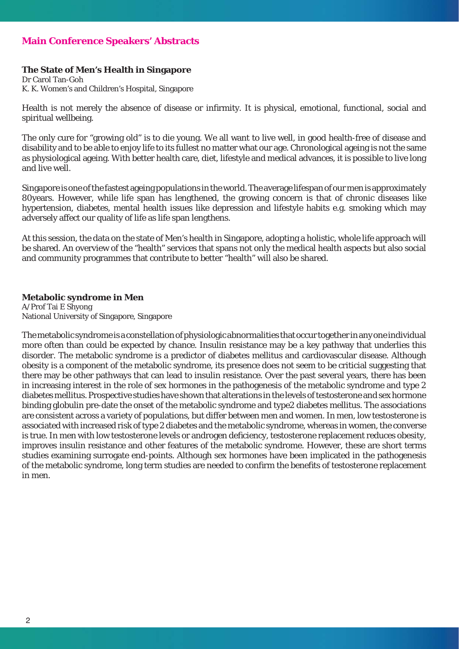# **Main Conference Speakers' Abstracts**

### **The State of Men's Health in Singapore**

Dr Carol Tan-Goh K. K. Women's and Children's Hospital, Singapore

Health is not merely the absence of disease or infirmity. It is physical, emotional, functional, social and spiritual wellbeing.

The only cure for "growing old" is to die young. We all want to live well, in good health-free of disease and disability and to be able to enjoy life to its fullest no matter what our age. Chronological ageing is not the same as physiological ageing. With better health care, diet, lifestyle and medical advances, it is possible to live long and live well.

Singapore is one of the fastest ageing populations in the world. The average lifespan of our men is approximately 80years. However, while life span has lengthened, the growing concern is that of chronic diseases like hypertension, diabetes, mental health issues like depression and lifestyle habits e.g. smoking which may adversely affect our quality of life as life span lengthens.

At this session, the data on the state of Men's health in Singapore, adopting a holistic, whole life approach will be shared. An overview of the "health" services that spans not only the medical health aspects but also social and community programmes that contribute to better "health" will also be shared.

#### **Metabolic syndrome in Men**

A/Prof Tai E Shyong National University of Singapore, Singapore

The metabolic syndrome is a constellation of physiologic abnormalities that occur together in any one individual more often than could be expected by chance. Insulin resistance may be a key pathway that underlies this disorder. The metabolic syndrome is a predictor of diabetes mellitus and cardiovascular disease. Although obesity is a component of the metabolic syndrome, its presence does not seem to be criticial suggesting that there may be other pathways that can lead to insulin resistance. Over the past several years, there has been in increasing interest in the role of sex hormones in the pathogenesis of the metabolic syndrome and type 2 diabetes mellitus. Prospective studies have shown that alterations in the levels of testosterone and sex hormone binding globulin pre-date the onset of the metabolic syndrome and type2 diabetes mellitus. The associations are consistent across a variety of populations, but differ between men and women. In men, low testosterone is associated with increased risk of type 2 diabetes and the metabolic syndrome, whereas in women, the converse is true. In men with low testosterone levels or androgen deficiency, testosterone replacement reduces obesity, improves insulin resistance and other features of the metabolic syndrome. However, these are short terms studies examining surrogate end-points. Although sex hormones have been implicated in the pathogenesis of the metabolic syndrome, long term studies are needed to confirm the benefits of testosterone replacement in men.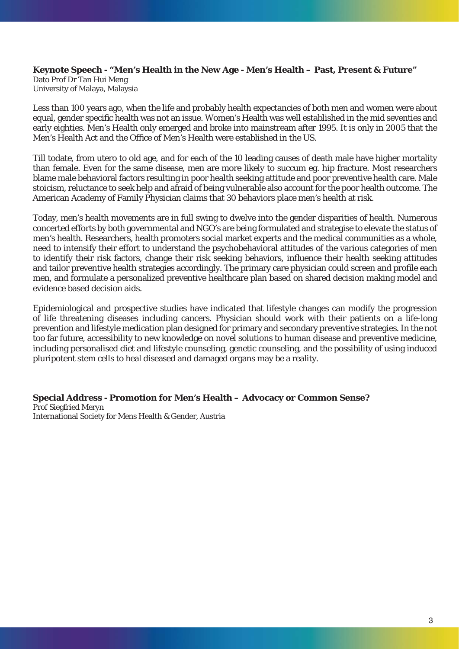**Keynote Speech - "Men's Health in the New Age - Men's Health – Past, Present & Future"** Dato Prof Dr Tan Hui Meng University of Malaya, Malaysia

Less than 100 years ago, when the life and probably health expectancies of both men and women were about equal, gender specific health was not an issue. Women's Health was well established in the mid seventies and early eighties. Men's Health only emerged and broke into mainstream after 1995. It is only in 2005 that the Men's Health Act and the Office of Men's Health were established in the US.

Till todate, from utero to old age, and for each of the 10 leading causes of death male have higher mortality than female. Even for the same disease, men are more likely to succum eg. hip fracture. Most researchers blame male behavioral factors resulting in poor health seeking attitude and poor preventive health care. Male stoicism, reluctance to seek help and afraid of being vulnerable also account for the poor health outcome. The American Academy of Family Physician claims that 30 behaviors place men's health at risk.

Today, men's health movements are in full swing to dwelve into the gender disparities of health. Numerous concerted efforts by both governmental and NGO's are being formulated and strategise to elevate the status of men's health. Researchers, health promoters social market experts and the medical communities as a whole, need to intensify their effort to understand the psychobehavioral attitudes of the various categories of men to identify their risk factors, change their risk seeking behaviors, influence their health seeking attitudes and tailor preventive health strategies accordingly. The primary care physician could screen and profile each men, and formulate a personalized preventive healthcare plan based on shared decision making model and evidence based decision aids.

Epidemiological and prospective studies have indicated that lifestyle changes can modify the progression of life threatening diseases including cancers. Physician should work with their patients on a life-long prevention and lifestyle medication plan designed for primary and secondary preventive strategies. In the not too far future, accessibility to new knowledge on novel solutions to human disease and preventive medicine, including personalised diet and lifestyle counseling, genetic counseling, and the possibility of using induced pluripotent stem cells to heal diseased and damaged organs may be a reality.

# **Special Address - Promotion for Men's Health – Advocacy or Common Sense?**

Prof Siegfried Meryn International Society for Mens Health & Gender, Austria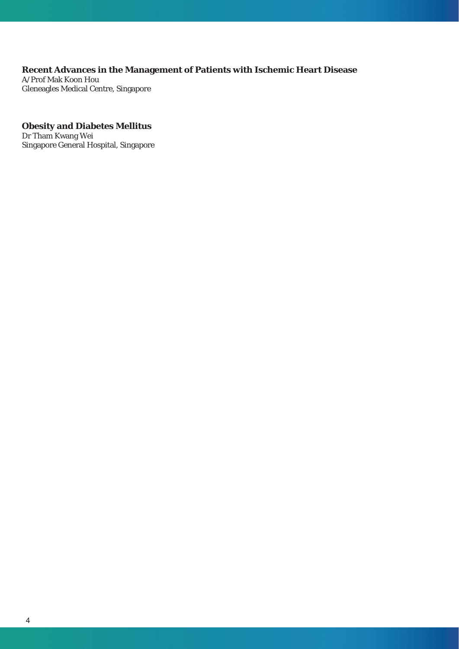# **Recent Advances in the Management of Patients with Ischemic Heart Disease**

A/Prof Mak Koon Hou Gleneagles Medical Centre, Singapore

#### **Obesity and Diabetes Mellitus**

Dr Tham Kwang Wei Singapore General Hospital, Singapore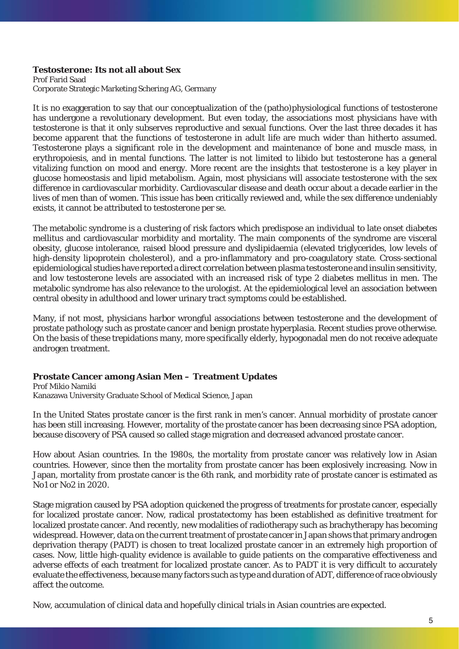### **Testosterone: Its not all about Sex**

Prof Farid Saad Corporate Strategic Marketing Schering AG, Germany

It is no exaggeration to say that our conceptualization of the (patho)physiological functions of testosterone has undergone a revolutionary development. But even today, the associations most physicians have with testosterone is that it only subserves reproductive and sexual functions. Over the last three decades it has become apparent that the functions of testosterone in adult life are much wider than hitherto assumed. Testosterone plays a significant role in the development and maintenance of bone and muscle mass, in erythropoiesis, and in mental functions. The latter is not limited to libido but testosterone has a general vitalizing function on mood and energy. More recent are the insights that testosterone is a key player in glucose homeostasis and lipid metabolism. Again, most physicians will associate testosterone with the sex difference in cardiovascular morbidity. Cardiovascular disease and death occur about a decade earlier in the lives of men than of women. This issue has been critically reviewed and, while the sex difference undeniably exists, it cannot be attributed to testosterone per se.

The metabolic syndrome is a clustering of risk factors which predispose an individual to late onset diabetes mellitus and cardiovascular morbidity and mortality. The main components of the syndrome are visceral obesity, glucose intolerance, raised blood pressure and dyslipidaemia (elevated triglycerides, low levels of high-density lipoprotein cholesterol), and a pro-inflammatory and pro-coagulatory state. Cross-sectional epidemiological studies have reported a direct correlation between plasma testosterone and insulin sensitivity, and low testosterone levels are associated with an increased risk of type 2 diabetes mellitus in men. The metabolic syndrome has also relevance to the urologist. At the epidemiological level an association between central obesity in adulthood and lower urinary tract symptoms could be established.

Many, if not most, physicians harbor wrongful associations between testosterone and the development of prostate pathology such as prostate cancer and benign prostate hyperplasia. Recent studies prove otherwise. On the basis of these trepidations many, more specifically elderly, hypogonadal men do not receive adequate androgen treatment.

## **Prostate Cancer among Asian Men – Treatment Updates**

Prof Mikio Namiki Kanazawa University Graduate School of Medical Science, Japan

In the United States prostate cancer is the first rank in men's cancer. Annual morbidity of prostate cancer has been still increasing. However, mortality of the prostate cancer has been decreasing since PSA adoption, because discovery of PSA caused so called stage migration and decreased advanced prostate cancer.

How about Asian countries. In the 1980s, the mortality from prostate cancer was relatively low in Asian countries. However, since then the mortality from prostate cancer has been explosively increasing. Now in Japan, mortality from prostate cancer is the 6th rank, and morbidity rate of prostate cancer is estimated as No1 or No2 in 2020.

Stage migration caused by PSA adoption quickened the progress of treatments for prostate cancer, especially for localized prostate cancer. Now, radical prostatectomy has been established as definitive treatment for localized prostate cancer. And recently, new modalities of radiotherapy such as brachytherapy has becoming widespread. However, data on the current treatment of prostate cancer in Japan shows that primary androgen deprivation therapy (PADT) is chosen to treat localized prostate cancer in an extremely high proportion of cases. Now, little high-quality evidence is available to guide patients on the comparative effectiveness and adverse effects of each treatment for localized prostate cancer. As to PADT it is very difficult to accurately evaluate the effectiveness, because many factors such as type and duration of ADT, difference of race obviously affect the outcome.

Now, accumulation of clinical data and hopefully clinical trials in Asian countries are expected.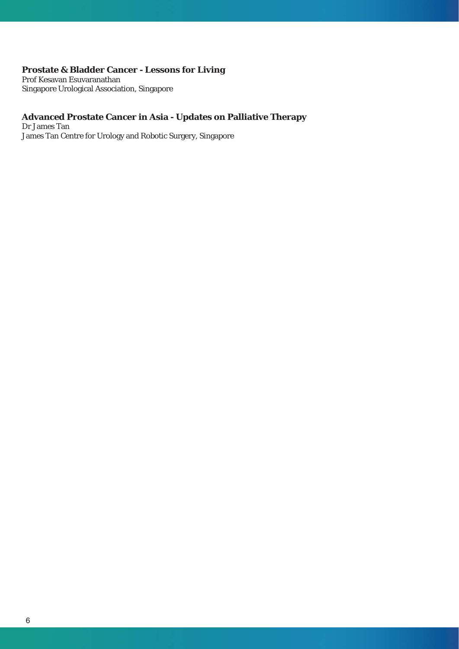# **Prostate & Bladder Cancer - Lessons for Living**

Prof Kesavan Esuvaranathan Singapore Urological Association, Singapore

# **Advanced Prostate Cancer in Asia - Updates on Palliative Therapy**

Dr James Tan James Tan Centre for Urology and Robotic Surgery, Singapore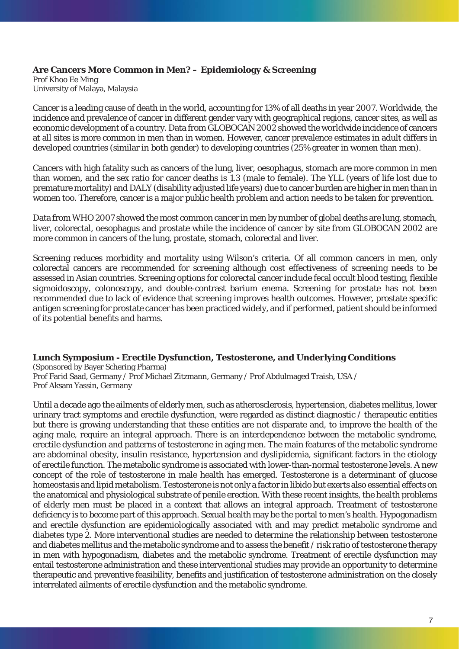# **Are Cancers More Common in Men? – Epidemiology & Screening**

Prof Khoo Ee Ming University of Malaya, Malaysia

Cancer is a leading cause of death in the world, accounting for 13% of all deaths in year 2007. Worldwide, the incidence and prevalence of cancer in different gender vary with geographical regions, cancer sites, as well as economic development of a country. Data from GLOBOCAN 2002 showed the worldwide incidence of cancers at all sites is more common in men than in women. However, cancer prevalence estimates in adult differs in developed countries (similar in both gender) to developing countries (25% greater in women than men).

Cancers with high fatality such as cancers of the lung, liver, oesophagus, stomach are more common in men than women, and the sex ratio for cancer deaths is 1.3 (male to female). The YLL (years of life lost due to premature mortality) and DALY (disability adjusted life years) due to cancer burden are higher in men than in women too. Therefore, cancer is a major public health problem and action needs to be taken for prevention.

Data from WHO 2007 showed the most common cancer in men by number of global deaths are lung, stomach, liver, colorectal, oesophagus and prostate while the incidence of cancer by site from GLOBOCAN 2002 are more common in cancers of the lung, prostate, stomach, colorectal and liver.

Screening reduces morbidity and mortality using Wilson's criteria. Of all common cancers in men, only colorectal cancers are recommended for screening although cost effectiveness of screening needs to be assessed in Asian countries. Screening options for colorectal cancer include fecal occult blood testing, flexible sigmoidoscopy, colonoscopy, and double-contrast barium enema. Screening for prostate has not been recommended due to lack of evidence that screening improves health outcomes. However, prostate specific antigen screening for prostate cancer has been practiced widely, and if performed, patient should be informed of its potential benefits and harms.

**Lunch Symposium - Erectile Dysfunction, Testosterone, and Underlying Conditions** (Sponsored by Bayer Schering Pharma) Prof Farid Saad, Germany / Prof Michael Zitzmann, Germany / Prof Abdulmaged Traish, USA / Prof Aksam Yassin, Germany

Until a decade ago the ailments of elderly men, such as atherosclerosis, hypertension, diabetes mellitus, lower urinary tract symptoms and erectile dysfunction, were regarded as distinct diagnostic / therapeutic entities but there is growing understanding that these entities are not disparate and, to improve the health of the aging male, require an integral approach. There is an interdependence between the metabolic syndrome, erectile dysfunction and patterns of testosterone in aging men. The main features of the metabolic syndrome are abdominal obesity, insulin resistance, hypertension and dyslipidemia, significant factors in the etiology of erectile function. The metabolic syndrome is associated with lower-than-normal testosterone levels. A new concept of the role of testosterone in male health has emerged. Testosterone is a determinant of glucose homeostasis and lipid metabolism. Testosterone is not only a factor in libido but exerts also essential effects on the anatomical and physiological substrate of penile erection. With these recent insights, the health problems of elderly men must be placed in a context that allows an integral approach. Treatment of testosterone deficiency is to become part of this approach. Sexual health may be the portal to men's health. Hypogonadism and erectile dysfunction are epidemiologically associated with and may predict metabolic syndrome and diabetes type 2. More interventional studies are needed to determine the relationship between testosterone and diabetes mellitus and the metabolic syndrome and to assess the benefit / risk ratio of testosterone therapy in men with hypogonadism, diabetes and the metabolic syndrome. Treatment of erectile dysfunction may entail testosterone administration and these interventional studies may provide an opportunity to determine therapeutic and preventive feasibility, benefits and justification of testosterone administration on the closely interrelated ailments of erectile dysfunction and the metabolic syndrome.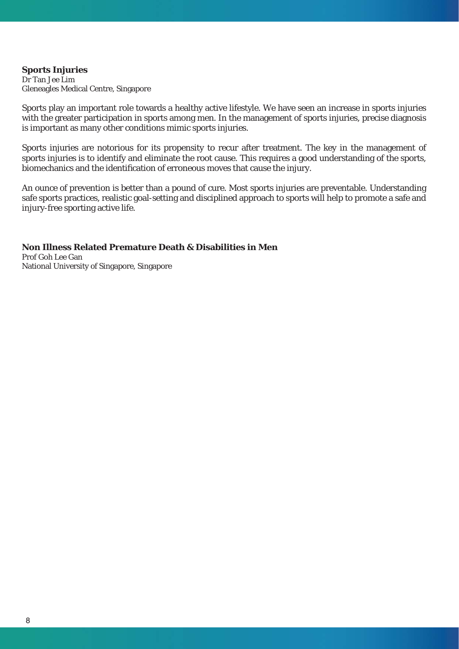## **Sports Injuries** Dr Tan Jee Lim Gleneagles Medical Centre, Singapore

Sports play an important role towards a healthy active lifestyle. We have seen an increase in sports injuries with the greater participation in sports among men. In the management of sports injuries, precise diagnosis is important as many other conditions mimic sports injuries.

Sports injuries are notorious for its propensity to recur after treatment. The key in the management of sports injuries is to identify and eliminate the root cause. This requires a good understanding of the sports, biomechanics and the identification of erroneous moves that cause the injury.

An ounce of prevention is better than a pound of cure. Most sports injuries are preventable. Understanding safe sports practices, realistic goal-setting and disciplined approach to sports will help to promote a safe and injury-free sporting active life.

## **Non Illness Related Premature Death & Disabilities in Men** Prof Goh Lee Gan

National University of Singapore, Singapore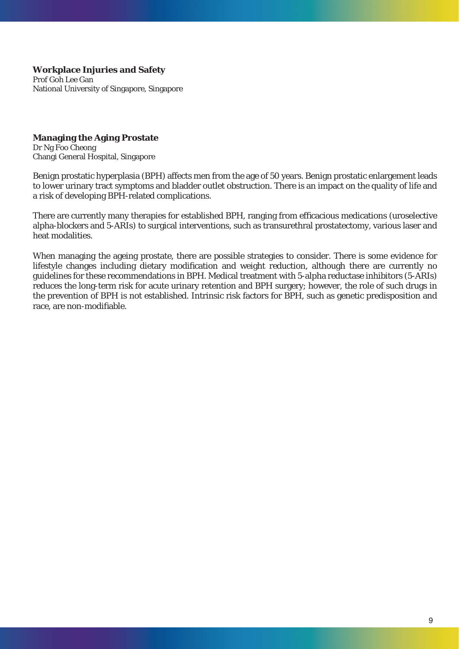## **Workplace Injuries and Safety**

Prof Goh Lee Gan National University of Singapore, Singapore

# **Managing the Aging Prostate**

Dr Ng Foo Cheong Changi General Hospital, Singapore

Benign prostatic hyperplasia (BPH) affects men from the age of 50 years. Benign prostatic enlargement leads to lower urinary tract symptoms and bladder outlet obstruction. There is an impact on the quality of life and a risk of developing BPH-related complications.

There are currently many therapies for established BPH, ranging from efficacious medications (uroselective alpha-blockers and 5-ARIs) to surgical interventions, such as transurethral prostatectomy, various laser and heat modalities.

When managing the ageing prostate, there are possible strategies to consider. There is some evidence for lifestyle changes including dietary modification and weight reduction, although there are currently no guidelines for these recommendations in BPH. Medical treatment with 5-alpha reductase inhibitors (5-ARIs) reduces the long-term risk for acute urinary retention and BPH surgery; however, the role of such drugs in the prevention of BPH is not established. Intrinsic risk factors for BPH, such as genetic predisposition and race, are non-modifiable.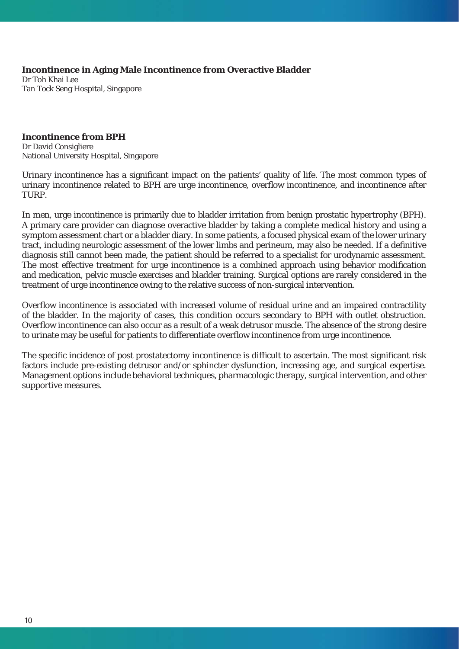# **Incontinence in Aging Male Incontinence from Overactive Bladder**

Dr Toh Khai Lee Tan Tock Seng Hospital, Singapore

## **Incontinence from BPH**

Dr David Consigliere National University Hospital, Singapore

Urinary incontinence has a significant impact on the patients' quality of life. The most common types of urinary incontinence related to BPH are urge incontinence, overflow incontinence, and incontinence after TURP.

In men, urge incontinence is primarily due to bladder irritation from benign prostatic hypertrophy (BPH). A primary care provider can diagnose overactive bladder by taking a complete medical history and using a symptom assessment chart or a bladder diary. In some patients, a focused physical exam of the lower urinary tract, including neurologic assessment of the lower limbs and perineum, may also be needed. If a definitive diagnosis still cannot been made, the patient should be referred to a specialist for urodynamic assessment. The most effective treatment for urge incontinence is a combined approach using behavior modification and medication, pelvic muscle exercises and bladder training. Surgical options are rarely considered in the treatment of urge incontinence owing to the relative success of non-surgical intervention.

Overflow incontinence is associated with increased volume of residual urine and an impaired contractility of the bladder. In the majority of cases, this condition occurs secondary to BPH with outlet obstruction. Overflow incontinence can also occur as a result of a weak detrusor muscle. The absence of the strong desire to urinate may be useful for patients to differentiate overflow incontinence from urge incontinence.

The specific incidence of post prostatectomy incontinence is difficult to ascertain. The most significant risk factors include pre-existing detrusor and/or sphincter dysfunction, increasing age, and surgical expertise. Management options include behavioral techniques, pharmacologic therapy, surgical intervention, and other supportive measures.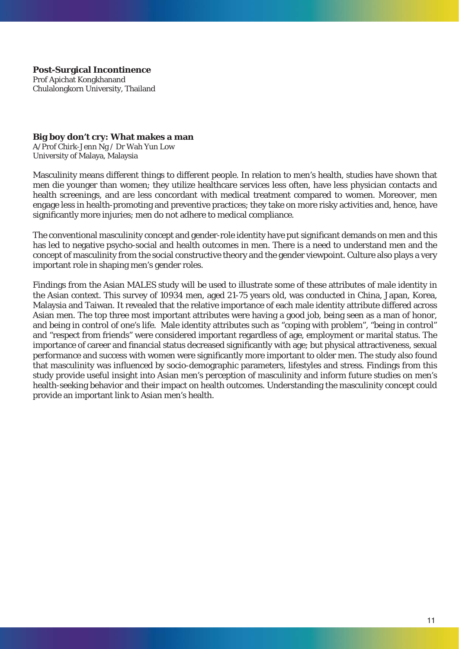**Post-Surgical Incontinence** Prof Apichat Kongkhanand Chulalongkorn University, Thailand

## **Big boy don't cry: What makes a man**

A/Prof Chirk-Jenn Ng / Dr Wah Yun Low University of Malaya, Malaysia

Masculinity means different things to different people. In relation to men's health, studies have shown that men die younger than women; they utilize healthcare services less often, have less physician contacts and health screenings, and are less concordant with medical treatment compared to women. Moreover, men engage less in health-promoting and preventive practices; they take on more risky activities and, hence, have significantly more injuries; men do not adhere to medical compliance.

The conventional masculinity concept and gender-role identity have put significant demands on men and this has led to negative psycho-social and health outcomes in men. There is a need to understand men and the concept of masculinity from the social constructive theory and the gender viewpoint. Culture also plays a very important role in shaping men's gender roles.

Findings from the Asian MALES study will be used to illustrate some of these attributes of male identity in the Asian context. This survey of 10934 men, aged 21-75 years old, was conducted in China, Japan, Korea, Malaysia and Taiwan. It revealed that the relative importance of each male identity attribute differed across Asian men. The top three most important attributes were having a good job, being seen as a man of honor, and being in control of one's life. Male identity attributes such as "coping with problem", "being in control" and "respect from friends" were considered important regardless of age, employment or marital status. The importance of career and financial status decreased significantly with age; but physical attractiveness, sexual performance and success with women were significantly more important to older men. The study also found that masculinity was influenced by socio-demographic parameters, lifestyles and stress. Findings from this study provide useful insight into Asian men's perception of masculinity and inform future studies on men's health-seeking behavior and their impact on health outcomes. Understanding the masculinity concept could provide an important link to Asian men's health.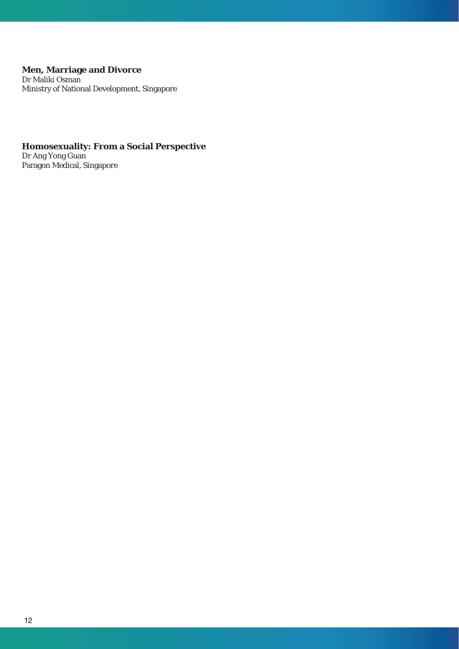## **Men, Marriage and Divorce** Dr Maliki Osman Ministry of National Development, Singapore

## **Homosexuality: From a Social Perspective**

Dr Ang Yong Guan Paragon Medical, Singapore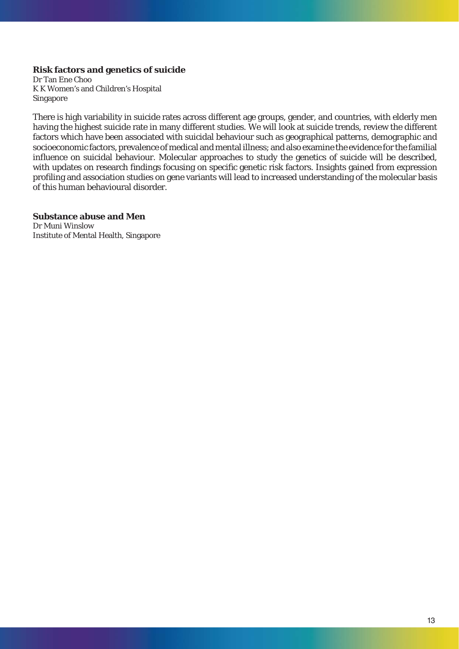## **Risk factors and genetics of suicide**

Dr Tan Ene Choo K K Women's and Children's Hospital Singapore

There is high variability in suicide rates across different age groups, gender, and countries, with elderly men having the highest suicide rate in many different studies. We will look at suicide trends, review the different factors which have been associated with suicidal behaviour such as geographical patterns, demographic and socioeconomic factors, prevalence of medical and mental illness; and also examine the evidence for the familial influence on suicidal behaviour. Molecular approaches to study the genetics of suicide will be described, with updates on research findings focusing on specific genetic risk factors. Insights gained from expression profiling and association studies on gene variants will lead to increased understanding of the molecular basis of this human behavioural disorder.

# **Substance abuse and Men**

Dr Muni Winslow Institute of Mental Health, Singapore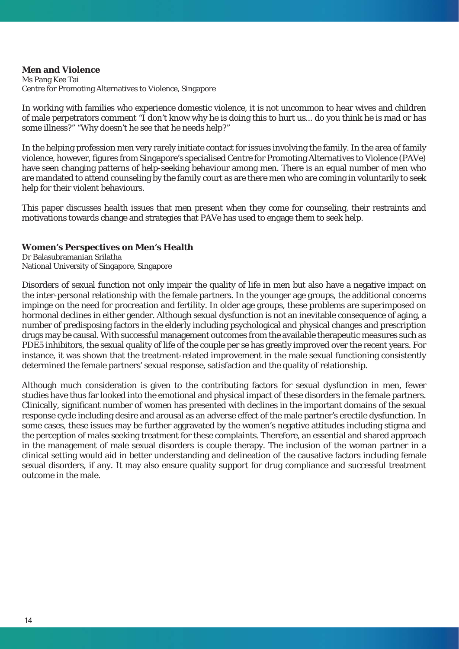## **Men and Violence**

Ms Pang Kee Tai Centre for Promoting Alternatives to Violence, Singapore

In working with families who experience domestic violence, it is not uncommon to hear wives and children of male perpetrators comment "I don't know why he is doing this to hurt us... do you think he is mad or has some illness?" "Why doesn't he see that he needs help?"

In the helping profession men very rarely initiate contact for issues involving the family. In the area of family violence, however, figures from Singapore's specialised Centre for Promoting Alternatives to Violence (PAVe) have seen changing patterns of help-seeking behaviour among men. There is an equal number of men who are mandated to attend counseling by the family court as are there men who are coming in voluntarily to seek help for their violent behaviours.

This paper discusses health issues that men present when they come for counseling, their restraints and motivations towards change and strategies that PAVe has used to engage them to seek help.

## **Women's Perspectives on Men's Health**

Dr Balasubramanian Srilatha National University of Singapore, Singapore

Disorders of sexual function not only impair the quality of life in men but also have a negative impact on the inter-personal relationship with the female partners. In the younger age groups, the additional concerns impinge on the need for procreation and fertility. In older age groups, these problems are superimposed on hormonal declines in either gender. Although sexual dysfunction is not an inevitable consequence of aging, a number of predisposing factors in the elderly including psychological and physical changes and prescription drugs may be causal. With successful management outcomes from the available therapeutic measures such as PDE5 inhibitors, the sexual quality of life of the couple per se has greatly improved over the recent years. For instance, it was shown that the treatment-related improvement in the male sexual functioning consistently determined the female partners' sexual response, satisfaction and the quality of relationship.

Although much consideration is given to the contributing factors for sexual dysfunction in men, fewer studies have thus far looked into the emotional and physical impact of these disorders in the female partners. Clinically, significant number of women has presented with declines in the important domains of the sexual response cycle including desire and arousal as an adverse effect of the male partner's erectile dysfunction. In some cases, these issues may be further aggravated by the women's negative attitudes including stigma and the perception of males seeking treatment for these complaints. Therefore, an essential and shared approach in the management of male sexual disorders is couple therapy. The inclusion of the woman partner in a clinical setting would aid in better understanding and delineation of the causative factors including female sexual disorders, if any. It may also ensure quality support for drug compliance and successful treatment outcome in the male.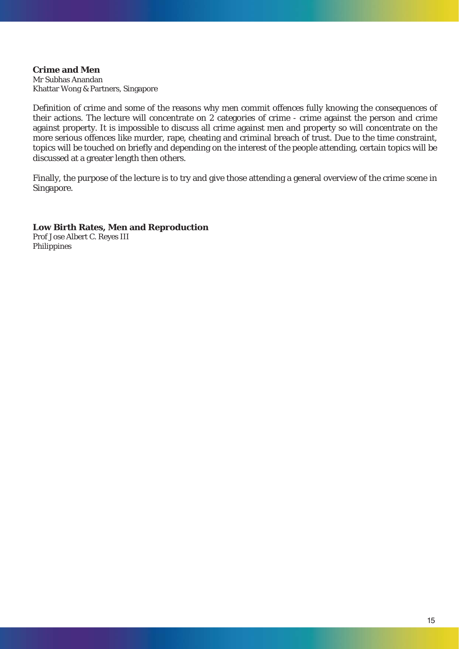**Crime and Men** Mr Subhas Anandan Khattar Wong & Partners, Singapore

Definition of crime and some of the reasons why men commit offences fully knowing the consequences of their actions. The lecture will concentrate on 2 categories of crime - crime against the person and crime against property. It is impossible to discuss all crime against men and property so will concentrate on the more serious offences like murder, rape, cheating and criminal breach of trust. Due to the time constraint, topics will be touched on briefly and depending on the interest of the people attending, certain topics will be discussed at a greater length then others.

Finally, the purpose of the lecture is to try and give those attending a general overview of the crime scene in Singapore.

## **Low Birth Rates, Men and Reproduction**

Prof Jose Albert C. Reyes III Philippines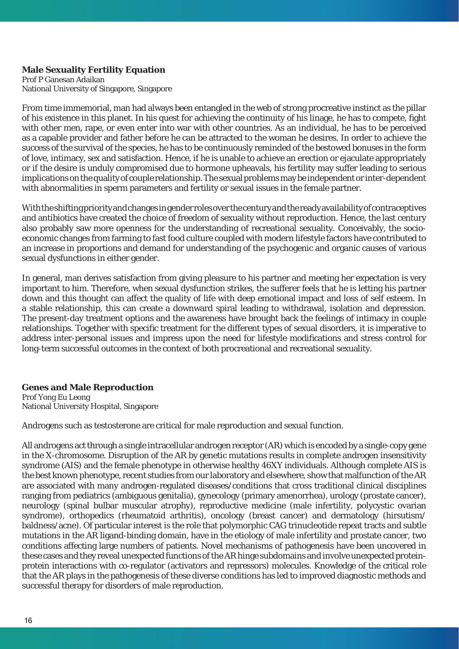## **Male Sexuality Fertility Equation**

Prof P Ganesan Adaikan National University of Singapore, Singapore

From time immemorial, man had always been entangled in the web of strong procreative instinct as the pillar of his existence in this planet. In his quest for achieving the continuity of his linage, he has to compete, fight with other men, rape, or even enter into war with other countries. As an individual, he has to be perceived as a capable provider and father before he can be attracted to the woman he desires. In order to achieve the success of the survival of the species, he has to be continuously reminded of the bestowed bonuses in the form of love, intimacy, sex and satisfaction. Hence, if he is unable to achieve an erection or ejaculate appropriately or if the desire is unduly compromised due to hormone upheavals, his fertility may suffer leading to serious implications on the quality of couple relationship. The sexual problems may be independent or inter-dependent with abnormalities in sperm parameters and fertility or sexual issues in the female partner.

With the shifting priority and changes in gender roles over the century and the ready availability of contraceptives and antibiotics have created the choice of freedom of sexuality without reproduction. Hence, the last century also probably saw more openness for the understanding of recreational sexuality. Conceivably, the socioeconomic changes from farming to fast food culture coupled with modern lifestyle factors have contributed to an increase in proportions and demand for understanding of the psychogenic and organic causes of various sexual dysfunctions in either gender.

In general, man derives satisfaction from giving pleasure to his partner and meeting her expectation is very important to him. Therefore, when sexual dysfunction strikes, the sufferer feels that he is letting his partner down and this thought can affect the quality of life with deep emotional impact and loss of self esteem. In a stable relationship, this can create a downward spiral leading to withdrawal, isolation and depression. The present-day treatment options and the awareness have brought back the feelings of intimacy in couple relationships. Together with specific treatment for the different types of sexual disorders, it is imperative to address inter-personal issues and impress upon the need for lifestyle modifications and stress control for long-term successful outcomes in the context of both procreational and recreational sexuality.

## **Genes and Male Reproduction**

Prof Yong Eu Leong National University Hospital, Singapore

Androgens such as testosterone are critical for male reproduction and sexual function.

All androgens act through a single intracellular androgen receptor (AR) which is encoded by a single-copy gene in the X-chromosome. Disruption of the AR by genetic mutations results in complete androgen insensitivity syndrome (AIS) and the female phenotype in otherwise healthy 46XY individuals. Although complete AIS is the best known phenotype, recent studies from our laboratory and elsewhere, show that malfunction of the AR are associated with many androgen-regulated diseases/conditions that cross traditional clinical disciplines ranging from pediatrics (ambiguous genitalia), gynecology (primary amenorrhea), urology (prostate cancer), neurology (spinal bulbar muscular atrophy), reproductive medicine (male infertility, polycystic ovarian syndrome), orthopedics (rheumatoid arthritis), oncology (breast cancer) and dermatology (hirsutism/ baldness/acne). Of particular interest is the role that polymorphic CAG trinucleotide repeat tracts and subtle mutations in the AR ligand-binding domain, have in the etiology of male infertility and prostate cancer, two conditions affecting large numbers of patients. Novel mechanisms of pathogenesis have been uncovered in these cases and they reveal unexpected functions of the AR hinge subdomains and involve unexpected proteinprotein interactions with co-regulator (activators and repressors) molecules. Knowledge of the critical role that the AR plays in the pathogenesis of these diverse conditions has led to improved diagnostic methods and successful therapy for disorders of male reproduction.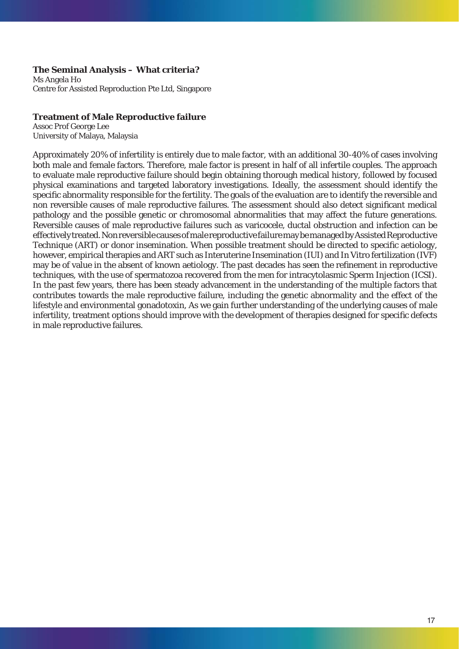## **The Seminal Analysis – What criteria?**

Ms Angela Ho Centre for Assisted Reproduction Pte Ltd, Singapore

### **Treatment of Male Reproductive failure**

Assoc Prof George Lee University of Malaya, Malaysia

Approximately 20% of infertility is entirely due to male factor, with an additional 30-40% of cases involving both male and female factors. Therefore, male factor is present in half of all infertile couples. The approach to evaluate male reproductive failure should begin obtaining thorough medical history, followed by focused physical examinations and targeted laboratory investigations. Ideally, the assessment should identify the specific abnormality responsible for the fertility. The goals of the evaluation are to identify the reversible and non reversible causes of male reproductive failures. The assessment should also detect significant medical pathology and the possible genetic or chromosomal abnormalities that may affect the future generations. Reversible causes of male reproductive failures such as varicocele, ductal obstruction and infection can be effectively treated. Non reversible causes of male reproductive failure may be managed by Assisted Reproductive Technique (ART) or donor insemination. When possible treatment should be directed to specific aetiology, however, empirical therapies and ART such as Interuterine Insemination (IUI) and In Vitro fertilization (IVF) may be of value in the absent of known aetiology. The past decades has seen the refinement in reproductive techniques, with the use of spermatozoa recovered from the men for intracytolasmic Sperm Injection (ICSI). In the past few years, there has been steady advancement in the understanding of the multiple factors that contributes towards the male reproductive failure, including the genetic abnormality and the effect of the lifestyle and environmental gonadotoxin, As we gain further understanding of the underlying causes of male infertility, treatment options should improve with the development of therapies designed for specific defects in male reproductive failures.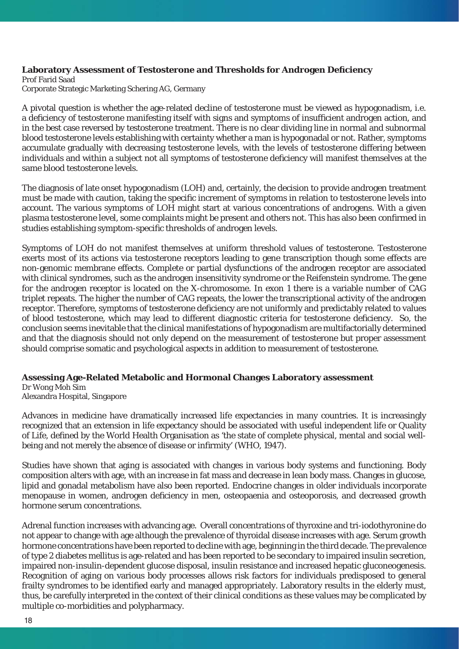## **Laboratory Assessment of Testosterone and Thresholds for Androgen Defi ciency**

Prof Farid Saad Corporate Strategic Marketing Schering AG, Germany

A pivotal question is whether the age-related decline of testosterone must be viewed as hypogonadism, i.e. a deficiency of testosterone manifesting itself with signs and symptoms of insufficient androgen action, and in the best case reversed by testosterone treatment. There is no clear dividing line in normal and subnormal blood testosterone levels establishing with certainty whether a man is hypogonadal or not. Rather, symptoms accumulate gradually with decreasing testosterone levels, with the levels of testosterone differing between individuals and within a subject not all symptoms of testosterone deficiency will manifest themselves at the same blood testosterone levels.

The diagnosis of late onset hypogonadism (LOH) and, certainly, the decision to provide androgen treatment must be made with caution, taking the specific increment of symptoms in relation to testosterone levels into account. The various symptoms of LOH might start at various concentrations of androgens. With a given plasma testosterone level, some complaints might be present and others not. This has also been confirmed in studies establishing symptom-specific thresholds of androgen levels.

Symptoms of LOH do not manifest themselves at uniform threshold values of testosterone. Testosterone exerts most of its actions via testosterone receptors leading to gene transcription though some effects are non-genomic membrane effects. Complete or partial dysfunctions of the androgen receptor are associated with clinical syndromes, such as the androgen insensitivity syndrome or the Reifenstein syndrome. The gene for the androgen receptor is located on the X-chromosome. In exon 1 there is a variable number of CAG triplet repeats. The higher the number of CAG repeats, the lower the transcriptional activity of the androgen receptor. Therefore, symptoms of testosterone deficiency are not uniformly and predictably related to values of blood testosterone, which may lead to different diagnostic criteria for testosterone deficiency. So, the conclusion seems inevitable that the clinical manifestations of hypogonadism are multifactorially determined and that the diagnosis should not only depend on the measurement of testosterone but proper assessment should comprise somatic and psychological aspects in addition to measurement of testosterone.

# **Assessing Age-Related Metabolic and Hormonal Changes Laboratory assessment**

Dr Wong Moh Sim Alexandra Hospital, Singapore

Advances in medicine have dramatically increased life expectancies in many countries. It is increasingly recognized that an extension in life expectancy should be associated with useful independent life or Quality of Life, defined by the World Health Organisation as 'the state of complete physical, mental and social wellbeing and not merely the absence of disease or infirmity' (WHO, 1947).

Studies have shown that aging is associated with changes in various body systems and functioning. Body composition alters with age, with an increase in fat mass and decrease in lean body mass. Changes in glucose, lipid and gonadal metabolism have also been reported. Endocrine changes in older individuals incorporate menopause in women, androgen deficiency in men, osteopaenia and osteoporosis, and decreased growth hormone serum concentrations.

Adrenal function increases with advancing age. Overall concentrations of thyroxine and tri-iodothyronine do not appear to change with age although the prevalence of thyroidal disease increases with age. Serum growth hormone concentrations have been reported to decline with age, beginning in the third decade. The prevalence of type 2 diabetes mellitus is age-related and has been reported to be secondary to impaired insulin secretion, impaired non-insulin-dependent glucose disposal, insulin resistance and increased hepatic gluconeogenesis. Recognition of aging on various body processes allows risk factors for individuals predisposed to general frailty syndromes to be identified early and managed appropriately. Laboratory results in the elderly must, thus, be carefully interpreted in the context of their clinical conditions as these values may be complicated by multiple co-morbidities and polypharmacy.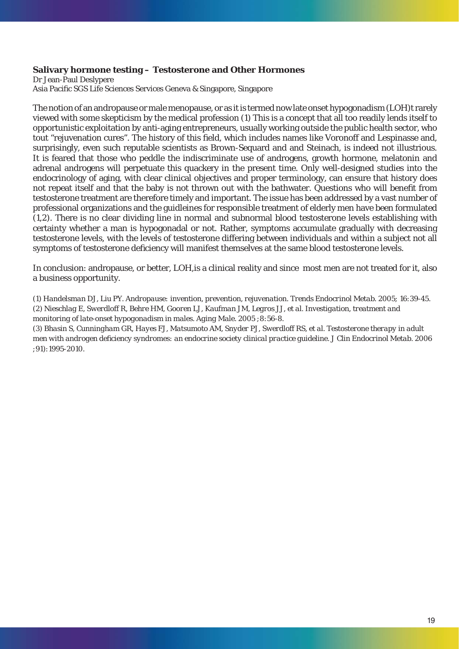### **Salivary hormone testing – Testosterone and Other Hormones**

Dr Jean-Paul Deslypere Asia Pacific SGS Life Sciences Services Geneva & Singapore, Singapore

The notion of an andropause or male menopause, or as it is termed now late onset hypogonadism (LOH)t rarely viewed with some skepticism by the medical profession (1) This is a concept that all too readily lends itself to opportunistic exploitation by anti-aging entrepreneurs, usually working outside the public health sector, who tout "rejuvenation cures". The history of this field, which includes names like Voronoff and Lespinasse and, surprisingly, even such reputable scientists as Brown-Sequard and and Steinach, is indeed not illustrious. It is feared that those who peddle the indiscriminate use of androgens, growth hormone, melatonin and adrenal androgens will perpetuate this quackery in the present time. Only well-designed studies into the endocrinology of aging, with clear clinical objectives and proper terminology, can ensure that history does not repeat itself and that the baby is not thrown out with the bathwater. Questions who will benefit from testosterone treatment are therefore timely and important. The issue has been addressed by a vast number of professional organizations and the guidleines for responsible treatment of elderly men have been formulated (1,2). There is no clear dividing line in normal and subnormal blood testosterone levels establishing with certainty whether a man is hypogonadal or not. Rather, symptoms accumulate gradually with decreasing testosterone levels, with the levels of testosterone differing between individuals and within a subject not all symptoms of testosterone deficiency will manifest themselves at the same blood testosterone levels.

In conclusion: andropause, or better, LOH,is a clinical reality and since most men are not treated for it, also a business opportunity.

*(1) Handelsman DJ, Liu PY. Andropause: invention, prevention, rejuvenation. Trends Endocrinol Metab. 2005; 16:39-45. (2) Nieschlag E, Swerdloff R, Behre HM, Gooren LJ, Kaufman JM, Legros JJ, et al. Investigation, treatment and monitoring of late-onset hypogonadism in males. Aging Male. 2005 ;8:56-8. (3) Bhasin S, Cunningham GR, Hayes FJ, Matsumoto AM, Snyder PJ, Swerdloff RS, et al. Testosterone therapy in adult men with androgen defi ciency syndromes: an endocrine society clinical practice guideline. J Clin Endocrinol Metab. 2006 ;91):1995-2010.*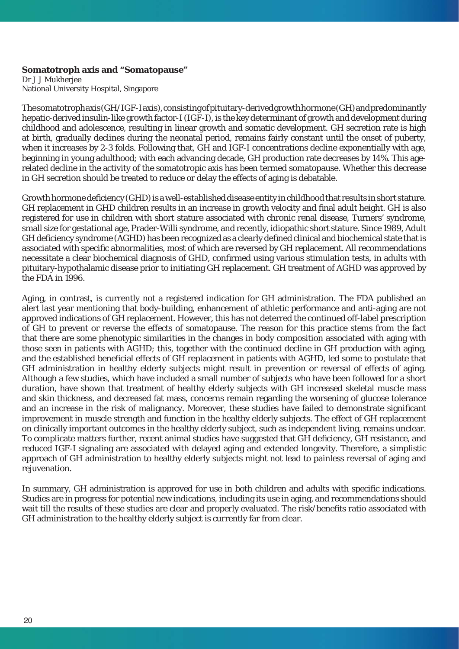## **Somatotroph axis and "Somatopause"**

Dr J J Mukherjee National University Hospital, Singapore

The somatotroph axis (GH/IGF-I axis), consisting of pituitary-derived growth hormone (GH) and predominantly hepatic-derived insulin-like growth factor-I (IGF-I), is the key determinant of growth and development during childhood and adolescence, resulting in linear growth and somatic development. GH secretion rate is high at birth, gradually declines during the neonatal period, remains fairly constant until the onset of puberty, when it increases by 2-3 folds. Following that, GH and IGF-I concentrations decline exponentially with age, beginning in young adulthood; with each advancing decade, GH production rate decreases by 14%. This agerelated decline in the activity of the somatotropic axis has been termed somatopause. Whether this decrease in GH secretion should be treated to reduce or delay the effects of aging is debatable.

Growth hormone deficiency (GHD) is a well-established disease entity in childhood that results in short stature. GH replacement in GHD children results in an increase in growth velocity and final adult height. GH is also registered for use in children with short stature associated with chronic renal disease, Turners' syndrome, small size for gestational age, Prader-Willi syndrome, and recently, idiopathic short stature. Since 1989, Adult GH deficiency syndrome (AGHD) has been recognized as a clearly defined clinical and biochemical state that is associated with specific abnormalities, most of which are reversed by GH replacement. All recommendations necessitate a clear biochemical diagnosis of GHD, confirmed using various stimulation tests, in adults with pituitary-hypothalamic disease prior to initiating GH replacement. GH treatment of AGHD was approved by the FDA in 1996.

Aging, in contrast, is currently not a registered indication for GH administration. The FDA published an alert last year mentioning that body-building, enhancement of athletic performance and anti-aging are not approved indications of GH replacement. However, this has not deterred the continued off-label prescription of GH to prevent or reverse the effects of somatopause. The reason for this practice stems from the fact that there are some phenotypic similarities in the changes in body composition associated with aging with those seen in patients with AGHD; this, together with the continued decline in GH production with aging, and the established beneficial effects of GH replacement in patients with AGHD, led some to postulate that GH administration in healthy elderly subjects might result in prevention or reversal of effects of aging. Although a few studies, which have included a small number of subjects who have been followed for a short duration, have shown that treatment of healthy elderly subjects with GH increased skeletal muscle mass and skin thickness, and decreased fat mass, concerns remain regarding the worsening of glucose tolerance and an increase in the risk of malignancy. Moreover, these studies have failed to demonstrate significant improvement in muscle strength and function in the healthy elderly subjects. The effect of GH replacement on clinically important outcomes in the healthy elderly subject, such as independent living, remains unclear. To complicate matters further, recent animal studies have suggested that GH deficiency, GH resistance, and reduced IGF-I signaling are associated with delayed aging and extended longevity. Therefore, a simplistic approach of GH administration to healthy elderly subjects might not lead to painless reversal of aging and rejuvenation.

In summary, GH administration is approved for use in both children and adults with specific indications. Studies are in progress for potential new indications, including its use in aging, and recommendations should wait till the results of these studies are clear and properly evaluated. The risk/benefits ratio associated with GH administration to the healthy elderly subject is currently far from clear.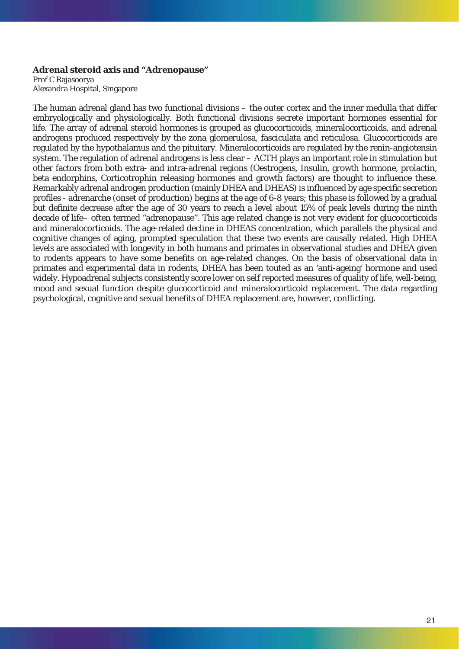#### **Adrenal steroid axis and "Adrenopause"**

Prof C Rajasoorya Alexandra Hospital, Singapore

The human adrenal gland has two functional divisions – the outer cortex and the inner medulla that differ embryologically and physiologically. Both functional divisions secrete important hormones essential for life. The array of adrenal steroid hormones is grouped as glucocorticoids, mineralocorticoids, and adrenal androgens produced respectively by the zona glomerulosa, fasciculata and reticulosa. Glucocorticoids are regulated by the hypothalamus and the pituitary. Mineralocorticoids are regulated by the renin-angiotensin system. The regulation of adrenal androgens is less clear – ACTH plays an important role in stimulation but other factors from both extra- and intra-adrenal regions (Oestrogens, Insulin, growth hormone, prolactin, beta endorphins, Corticotrophin releasing hormones and growth factors) are thought to influence these. Remarkably adrenal androgen production (mainly DHEA and DHEAS) is influenced by age specific secretion profiles - adrenarche (onset of production) begins at the age of 6-8 years; this phase is followed by a gradual but definite decrease after the age of 30 years to reach a level about 15% of peak levels during the ninth decade of life– often termed "adrenopause". This age related change is not very evident for glucocorticoids and mineralocorticoids. The age-related decline in DHEAS concentration, which parallels the physical and cognitive changes of aging, prompted speculation that these two events are causally related. High DHEA levels are associated with longevity in both humans and primates in observational studies and DHEA given to rodents appears to have some benefits on age-related changes. On the basis of observational data in primates and experimental data in rodents, DHEA has been touted as an 'anti-ageing' hormone and used widely. Hypoadrenal subjects consistently score lower on self reported measures of quality of life, well-being, mood and sexual function despite glucocorticoid and mineralocorticoid replacement. The data regarding psychological, cognitive and sexual benefits of DHEA replacement are, however, conflicting.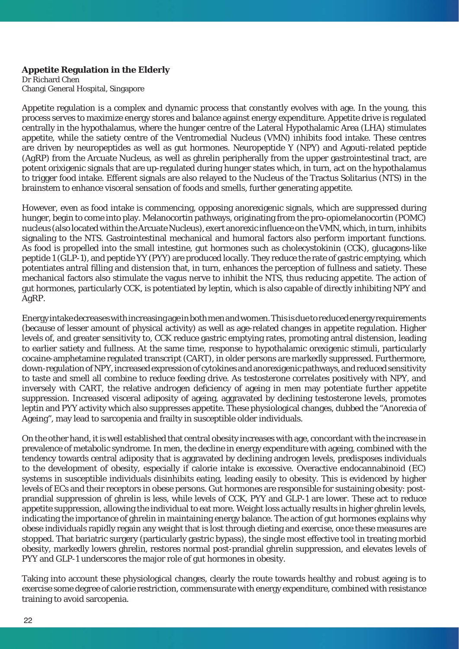# **Appetite Regulation in the Elderly**

Dr Richard Chen Changi General Hospital, Singapore

Appetite regulation is a complex and dynamic process that constantly evolves with age. In the young, this process serves to maximize energy stores and balance against energy expenditure. Appetite drive is regulated centrally in the hypothalamus, where the hunger centre of the Lateral Hypothalamic Area (LHA) stimulates appetite, while the satiety centre of the Ventromedial Nucleus (VMN) inhibits food intake. These centres are driven by neuropeptides as well as gut hormones. Neuropeptide Y (NPY) and Agouti-related peptide (AgRP) from the Arcuate Nucleus, as well as ghrelin peripherally from the upper gastrointestinal tract, are potent orixigenic signals that are up-regulated during hunger states which, in turn, act on the hypothalamus to trigger food intake. Efferent signals are also relayed to the Nucleus of the Tractus Solitarius (NTS) in the brainstem to enhance visceral sensation of foods and smells, further generating appetite.

However, even as food intake is commencing, opposing anorexigenic signals, which are suppressed during hunger, begin to come into play. Melanocortin pathways, originating from the pro-opiomelanocortin (POMC) nucleus (also located within the Arcuate Nucleus), exert anorexic influence on the VMN, which, in turn, inhibits signaling to the NTS. Gastrointestinal mechanical and humoral factors also perform important functions. As food is propelled into the small intestine, gut hormones such as cholecystokinin (CCK), glucagons-like peptide 1 (GLP-1), and peptide YY (PYY) are produced locally. They reduce the rate of gastric emptying, which potentiates antral filling and distension that, in turn, enhances the perception of fullness and satiety. These mechanical factors also stimulate the vagus nerve to inhibit the NTS, thus reducing appetite. The action of gut hormones, particularly CCK, is potentiated by leptin, which is also capable of directly inhibiting NPY and AgRP.

Energy intake decreases with increasing age in both men and women. This is due to reduced energy requirements (because of lesser amount of physical activity) as well as age-related changes in appetite regulation. Higher levels of, and greater sensitivity to, CCK reduce gastric emptying rates, promoting antral distension, leading to earlier satiety and fullness. At the same time, response to hypothalamic orexigenic stimuli, particularly cocaine-amphetamine regulated transcript (CART), in older persons are markedly suppressed. Furthermore, down-regulation of NPY, increased expression of cytokines and anorexigenic pathways, and reduced sensitivity to taste and smell all combine to reduce feeding drive. As testosterone correlates positively with NPY, and inversely with CART, the relative androgen deficiency of ageing in men may potentiate further appetite suppression. Increased visceral adiposity of ageing, aggravated by declining testosterone levels, promotes leptin and PYY activity which also suppresses appetite. These physiological changes, dubbed the "Anorexia of Ageing", may lead to sarcopenia and frailty in susceptible older individuals.

On the other hand, it is well established that central obesity increases with age, concordant with the increase in prevalence of metabolic syndrome. In men, the decline in energy expenditure with ageing, combined with the tendency towards central adiposity that is aggravated by declining androgen levels, predisposes individuals to the development of obesity, especially if calorie intake is excessive. Overactive endocannabinoid (EC) systems in susceptible individuals disinhibits eating, leading easily to obesity. This is evidenced by higher levels of ECs and their receptors in obese persons. Gut hormones are responsible for sustaining obesity: postprandial suppression of ghrelin is less, while levels of CCK, PYY and GLP-1 are lower. These act to reduce appetite suppression, allowing the individual to eat more. Weight loss actually results in higher ghrelin levels, indicating the importance of ghrelin in maintaining energy balance. The action of gut hormones explains why obese individuals rapidly regain any weight that is lost through dieting and exercise, once these measures are stopped. That bariatric surgery (particularly gastric bypass), the single most effective tool in treating morbid obesity, markedly lowers ghrelin, restores normal post-prandial ghrelin suppression, and elevates levels of PYY and GLP-1 underscores the major role of gut hormones in obesity.

Taking into account these physiological changes, clearly the route towards healthy and robust ageing is to exercise some degree of calorie restriction, commensurate with energy expenditure, combined with resistance training to avoid sarcopenia.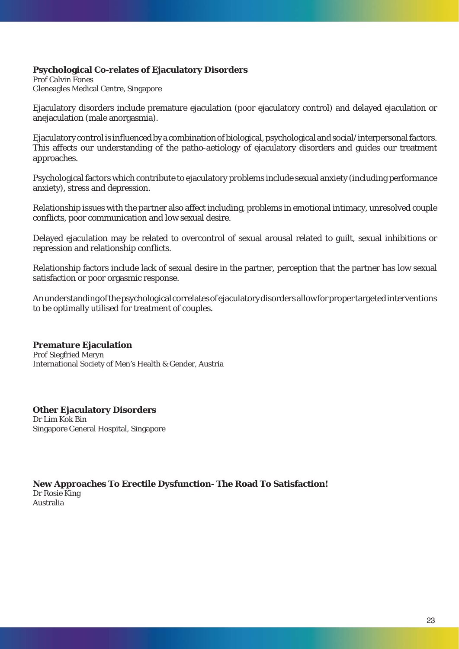# **Psychological Co-relates of Ejaculatory Disorders**

Prof Calvin Fones Gleneagles Medical Centre, Singapore

Ejaculatory disorders include premature ejaculation (poor ejaculatory control) and delayed ejaculation or anejaculation (male anorgasmia).

Ejaculatory control is influenced by a combination of biological, psychological and social/interpersonal factors. This affects our understanding of the patho-aetiology of ejaculatory disorders and guides our treatment approaches.

Psychological factors which contribute to ejaculatory problems include sexual anxiety (including performance anxiety), stress and depression.

Relationship issues with the partner also affect including, problems in emotional intimacy, unresolved couple conflicts, poor communication and low sexual desire.

Delayed ejaculation may be related to overcontrol of sexual arousal related to guilt, sexual inhibitions or repression and relationship conflicts.

Relationship factors include lack of sexual desire in the partner, perception that the partner has low sexual satisfaction or poor orgasmic response.

An understanding of the psychological correlates of ejaculatory disorders allow for proper targeted interventions to be optimally utilised for treatment of couples.

# **Premature Ejaculation**

Prof Siegfried Meryn International Society of Men's Health & Gender, Austria

**Other Ejaculatory Disorders** Dr Lim Kok Bin Singapore General Hospital, Singapore

**New Approaches To Erectile Dysfunction- The Road To Satisfaction!** Dr Rosie King Australia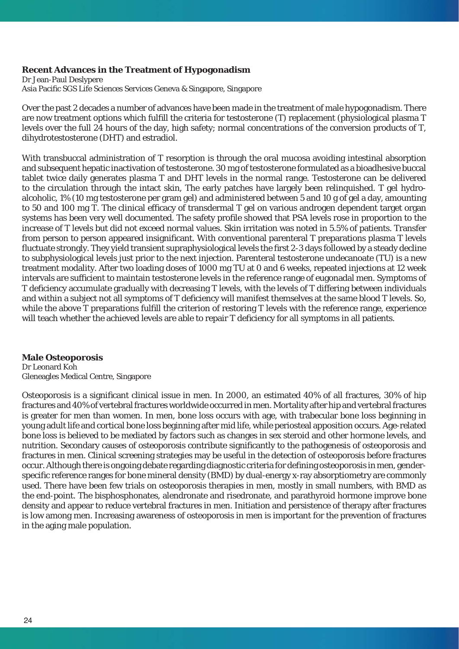### **Recent Advances in the Treatment of Hypogonadism**

Dr Jean-Paul Deslypere Asia Pacific SGS Life Sciences Services Geneva & Singapore, Singapore

Over the past 2 decades a number of advances have been made in the treatment of male hypogonadism. There are now treatment options which fulfill the criteria for testosterone (T) replacement (physiological plasma T levels over the full 24 hours of the day, high safety; normal concentrations of the conversion products of T, dihydrotestosterone (DHT) and estradiol.

With transbuccal administration of T resorption is through the oral mucosa avoiding intestinal absorption and subsequent hepatic inactivation of testosterone. 30 mg of testosterone formulated as a bioadhesive buccal tablet twice daily generates plasma T and DHT levels in the normal range. Testosterone can be delivered to the circulation through the intact skin, The early patches have largely been relinquished. T gel hydroalcoholic, 1% (10 mg testosterone per gram gel) and administered between 5 and 10 g of gel a day, amounting to 50 and 100 mg T. The clinical efficacy of transdermal T gel on various androgen dependent target organ systems has been very well documented. The safety profile showed that PSA levels rose in proportion to the increase of T levels but did not exceed normal values. Skin irritation was noted in 5.5% of patients. Transfer from person to person appeared insignificant. With conventional parenteral T preparations plasma T levels fluctuate strongly. They yield transient supraphysiological levels the first 2-3 days followed by a steady decline to subphysiological levels just prior to the next injection. Parenteral testosterone undecanoate (TU) is a new treatment modality. After two loading doses of 1000 mg TU at 0 and 6 weeks, repeated injections at 12 week intervals are sufficient to maintain testosterone levels in the reference range of eugonadal men. Symptoms of T deficiency accumulate gradually with decreasing T levels, with the levels of T differing between individuals and within a subject not all symptoms of T deficiency will manifest themselves at the same blood T levels. So, while the above  $T$  preparations fulfill the criterion of restoring  $T$  levels with the reference range, experience will teach whether the achieved levels are able to repair T deficiency for all symptoms in all patients.

# **Male Osteoporosis**

Dr Leonard Koh Gleneagles Medical Centre, Singapore

Osteoporosis is a significant clinical issue in men. In 2000, an estimated  $40\%$  of all fractures,  $30\%$  of hip fractures and 40% of vertebral fractures worldwide occurred in men. Mortality after hip and vertebral fractures is greater for men than women. In men, bone loss occurs with age, with trabecular bone loss beginning in young adult life and cortical bone loss beginning after mid life, while periosteal apposition occurs. Age-related bone loss is believed to be mediated by factors such as changes in sex steroid and other hormone levels, and nutrition. Secondary causes of osteoporosis contribute significantly to the pathogenesis of osteoporosis and fractures in men. Clinical screening strategies may be useful in the detection of osteoporosis before fractures occur. Although there is ongoing debate regarding diagnostic criteria for defining osteoporosis in men, genderspecific reference ranges for bone mineral density (BMD) by dual-energy x-ray absorptiometry are commonly used. There have been few trials on osteoporosis therapies in men, mostly in small numbers, with BMD as the end-point. The bisphosphonates, alendronate and risedronate, and parathyroid hormone improve bone density and appear to reduce vertebral fractures in men. Initiation and persistence of therapy after fractures is low among men. Increasing awareness of osteoporosis in men is important for the prevention of fractures in the aging male population.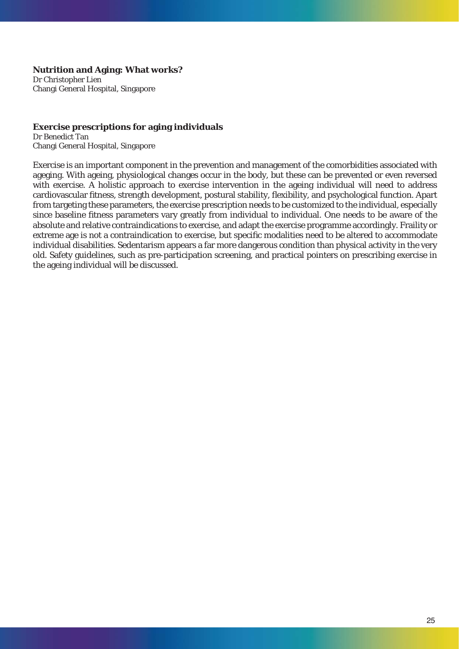#### **Nutrition and Aging: What works?**

Dr Christopher Lien Changi General Hospital, Singapore

### **Exercise prescriptions for aging individuals**

Dr Benedict Tan Changi General Hospital, Singapore

Exercise is an important component in the prevention and management of the comorbidities associated with ageging. With ageing, physiological changes occur in the body, but these can be prevented or even reversed with exercise. A holistic approach to exercise intervention in the ageing individual will need to address cardiovascular fitness, strength development, postural stability, flexibility, and psychological function. Apart from targeting these parameters, the exercise prescription needs to be customized to the individual, especially since baseline fitness parameters vary greatly from individual to individual. One needs to be aware of the absolute and relative contraindications to exercise, and adapt the exercise programme accordingly. Fraility or extreme age is not a contraindication to exercise, but specific modalities need to be altered to accommodate individual disabilities. Sedentarism appears a far more dangerous condition than physical activity in the very old. Safety guidelines, such as pre-participation screening, and practical pointers on prescribing exercise in the ageing individual will be discussed.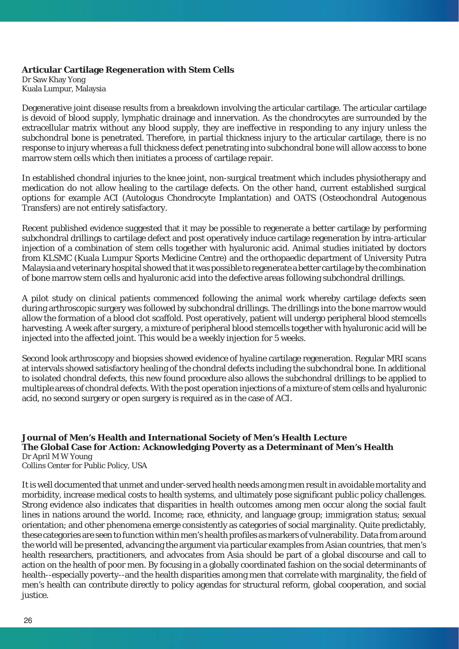#### **Articular Cartilage Regeneration with Stem Cells**

Dr Saw Khay Yong Kuala Lumpur, Malaysia

Degenerative joint disease results from a breakdown involving the articular cartilage. The articular cartilage is devoid of blood supply, lymphatic drainage and innervation. As the chondrocytes are surrounded by the extracellular matrix without any blood supply, they are ineffective in responding to any injury unless the subchondral bone is penetrated. Therefore, in partial thickness injury to the articular cartilage, there is no response to injury whereas a full thickness defect penetrating into subchondral bone will allow access to bone marrow stem cells which then initiates a process of cartilage repair.

In established chondral injuries to the knee joint, non-surgical treatment which includes physiotherapy and medication do not allow healing to the cartilage defects. On the other hand, current established surgical options for example ACI (Autologus Chondrocyte Implantation) and OATS (Osteochondral Autogenous Transfers) are not entirely satisfactory.

Recent published evidence suggested that it may be possible to regenerate a better cartilage by performing subchondral drillings to cartilage defect and post operatively induce cartilage regeneration by intra-articular injection of a combination of stem cells together with hyaluronic acid. Animal studies initiated by doctors from KLSMC (Kuala Lumpur Sports Medicine Centre) and the orthopaedic department of University Putra Malaysia and veterinary hospital showed that it was possible to regenerate a better cartilage by the combination of bone marrow stem cells and hyaluronic acid into the defective areas following subchondral drillings.

A pilot study on clinical patients commenced following the animal work whereby cartilage defects seen during arthroscopic surgery was followed by subchondral drillings. The drillings into the bone marrow would allow the formation of a blood clot scaffold. Post operatively, patient will undergo peripheral blood stemcells harvesting. A week after surgery, a mixture of peripheral blood stemcells together with hyaluronic acid will be injected into the affected joint. This would be a weekly injection for 5 weeks.

Second look arthroscopy and biopsies showed evidence of hyaline cartilage regeneration. Regular MRI scans at intervals showed satisfactory healing of the chondral defects including the subchondral bone. In additional to isolated chondral defects, this new found procedure also allows the subchondral drillings to be applied to multiple areas of chondral defects. With the post operation injections of a mixture of stem cells and hyaluronic acid, no second surgery or open surgery is required as in the case of ACI.

#### **Journal of Men's Health and International Society of Men's Health Lecture The Global Case for Action: Acknowledging Poverty as a Determinant of Men's Health** Dr April M W Young

Collins Center for Public Policy, USA

It is well documented that unmet and under-served health needs among men result in avoidable mortality and morbidity, increase medical costs to health systems, and ultimately pose significant public policy challenges. Strong evidence also indicates that disparities in health outcomes among men occur along the social fault lines in nations around the world. Income; race, ethnicity, and language group; immigration status; sexual orientation; and other phenomena emerge consistently as categories of social marginality. Quite predictably, these categories are seen to function within men's health profiles as markers of vulnerability. Data from around the world will be presented, advancing the argument via particular examples from Asian countries, that men's health researchers, practitioners, and advocates from Asia should be part of a global discourse and call to action on the health of poor men. By focusing in a globally coordinated fashion on the social determinants of health--especially poverty--and the health disparities among men that correlate with marginality, the field of men's health can contribute directly to policy agendas for structural reform, global cooperation, and social justice.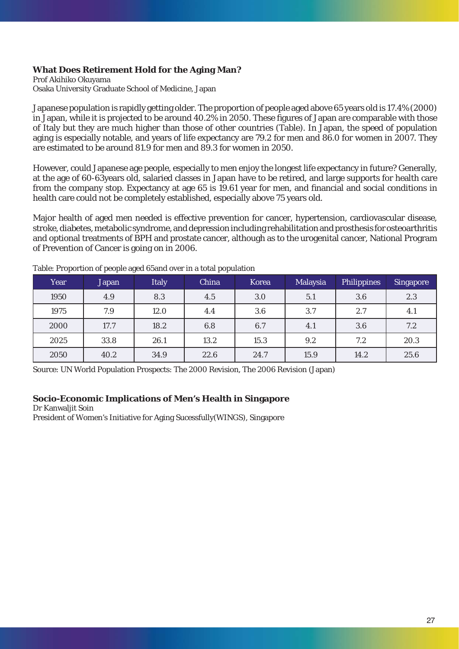# **What Does Retirement Hold for the Aging Man?**

Prof Akihiko Okuyama Osaka University Graduate School of Medicine, Japan

Japanese population is rapidly getting older. The proportion of people aged above 65 years old is 17.4% (2000) in Japan, while it is projected to be around 40.2% in 2050. These figures of Japan are comparable with those of Italy but they are much higher than those of other countries (Table). In Japan, the speed of population aging is especially notable, and years of life expectancy are 79.2 for men and 86.0 for women in 2007. They are estimated to be around 81.9 for men and 89.3 for women in 2050.

However, could Japanese age people, especially to men enjoy the longest life expectancy in future? Generally, at the age of 60-63years old, salaried classes in Japan have to be retired, and large supports for health care from the company stop. Expectancy at age 65 is 19.61 year for men, and financial and social conditions in health care could not be completely established, especially above 75 years old.

Major health of aged men needed is effective prevention for cancer, hypertension, cardiovascular disease, stroke, diabetes, metabolic syndrome, and depression including rehabilitation and prosthesis for osteoarthritis and optional treatments of BPH and prostate cancer, although as to the urogenital cancer, National Program of Prevention of Cancer is going on in 2006.

| Year | Japan | <b>Italy</b> | China | Korea | Malaysia | <b>Philippines</b> | Singapore |
|------|-------|--------------|-------|-------|----------|--------------------|-----------|
| 1950 | 4.9   | 8.3          | 4.5   | 3.0   | 5.1      | 3.6                | 2.3       |
| 1975 | 7.9   | 12.0         | 4.4   | 3.6   | 3.7      | 2.7                | 4.1       |
| 2000 | 17.7  | 18.2         | 6.8   | 6.7   | 4.1      | 3.6                | 7.2       |
| 2025 | 33.8  | 26.1         | 13.2  | 15.3  | 9.2      | 7.2                | 20.3      |
| 2050 | 40.2  | 34.9         | 22.6  | 24.7  | 15.9     | 14.2               | 25.6      |

Table: Proportion of people aged 65and over in a total population

Source: UN World Population Prospects: The 2000 Revision, The 2006 Revision (Japan)

# **Socio-Economic Implications of Men's Health in Singapore**

Dr Kanwaljit Soin

President of Women's Initiative for Aging Sucessfully(WINGS), Singapore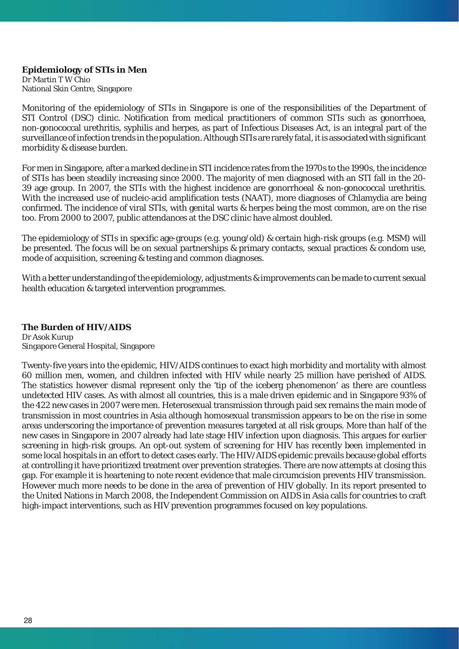### **Epidemiology of STIs in Men**

Dr Martin T W Chio National Skin Centre, Singapore

Monitoring of the epidemiology of STIs in Singapore is one of the responsibilities of the Department of STI Control (DSC) clinic. Notification from medical practitioners of common STIs such as gonorrhoea, non-gonococcal urethritis, syphilis and herpes, as part of Infectious Diseases Act, is an integral part of the surveillance of infection trends in the population. Although STIs are rarely fatal, it is associated with significant morbidity & disease burden.

For men in Singapore, after a marked decline in STI incidence rates from the 1970s to the 1990s, the incidence of STIs has been steadily increasing since 2000. The majority of men diagnosed with an STI fall in the 20- 39 age group. In 2007, the STIs with the highest incidence are gonorrhoeal & non-gonococcal urethritis. With the increased use of nucleic-acid amplification tests (NAAT), more diagnoses of Chlamydia are being confirmed. The incidence of viral STIs, with genital warts  $\&$  herpes being the most common, are on the rise too. From 2000 to 2007, public attendances at the DSC clinic have almost doubled.

The epidemiology of STIs in specific age-groups (e.g. young/old) & certain high-risk groups (e.g. MSM) will be presented. The focus will be on sexual partnerships & primary contacts, sexual practices & condom use, mode of acquisition, screening & testing and common diagnoses.

With a better understanding of the epidemiology, adjustments & improvements can be made to current sexual health education & targeted intervention programmes.

# **The Burden of HIV/AIDS**

Dr Asok Kurup Singapore General Hospital, Singapore

Twenty-five years into the epidemic, HIV/AIDS continues to exact high morbidity and mortality with almost 60 million men, women, and children infected with HIV while nearly 25 million have perished of AIDS. The statistics however dismal represent only the 'tip of the iceberg phenomenon' as there are countless undetected HIV cases. As with almost all countries, this is a male driven epidemic and in Singapore 93% of the 422 new cases in 2007 were men. Heterosexual transmission through paid sex remains the main mode of transmission in most countries in Asia although homosexual transmission appears to be on the rise in some areas underscoring the importance of prevention measures targeted at all risk groups. More than half of the new cases in Singapore in 2007 already had late stage HIV infection upon diagnosis. This argues for earlier screening in high-risk groups. An opt-out system of screening for HIV has recently been implemented in some local hospitals in an effort to detect cases early. The HIV/AIDS epidemic prevails because global efforts at controlling it have prioritized treatment over prevention strategies. There are now attempts at closing this gap. For example it is heartening to note recent evidence that male circumcision prevents HIV transmission. However much more needs to be done in the area of prevention of HIV globally. In its report presented to the United Nations in March 2008, the Independent Commission on AIDS in Asia calls for countries to craft high-impact interventions, such as HIV prevention programmes focused on key populations.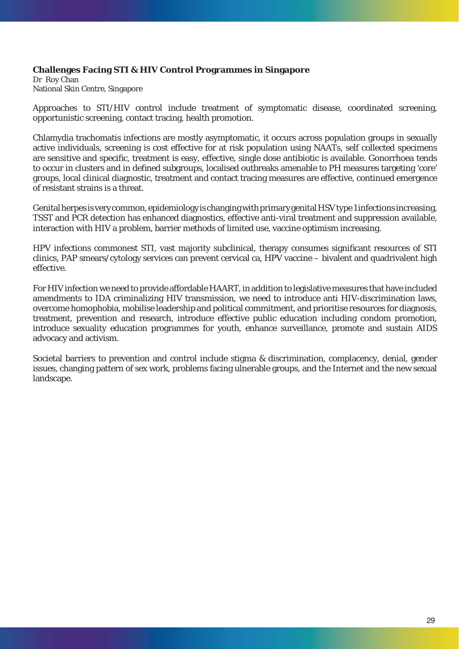# **Challenges Facing STI & HIV Control Programmes in Singapore**

Dr Roy Chan National Skin Centre, Singapore

Approaches to STI/HIV control include treatment of symptomatic disease, coordinated screening, opportunistic screening, contact tracing, health promotion.

Chlamydia trachomatis infections are mostly asymptomatic, it occurs across population groups in sexually active individuals, screening is cost effective for at risk population using NAATs, self collected specimens are sensitive and specific, treatment is easy, effective, single dose antibiotic is available. Gonorrhoea tends to occur in clusters and in defined subgroups, localised outbreaks amenable to PH measures targeting 'core' groups, local clinical diagnostic, treatment and contact tracing measures are effective, continued emergence of resistant strains is a threat.

Genital herpes is very common, epidemiology is changing with primary genital HSV type 1 infections increasing, TSST and PCR detection has enhanced diagnostics, effective anti-viral treatment and suppression available, interaction with HIV a problem, barrier methods of limited use, vaccine optimism increasing.

HPV infections commonest STI, vast majority subclinical, therapy consumes significant resources of STI clinics, PAP smears/cytology services can prevent cervical ca, HPV vaccine – bivalent and quadrivalent high effective.

For HIV infection we need to provide affordable HAART, in addition to legislative measures that have included amendments to IDA criminalizing HIV transmission, we need to introduce anti HIV-discrimination laws, overcome homophobia, mobilise leadership and political commitment, and prioritise resources for diagnosis, treatment, prevention and research, introduce effective public education including condom promotion, introduce sexuality education programmes for youth, enhance surveillance, promote and sustain AIDS advocacy and activism.

Societal barriers to prevention and control include stigma & discrimination, complacency, denial, gender issues, changing pattern of sex work, problems facing ulnerable groups, and the Internet and the new sexual landscape.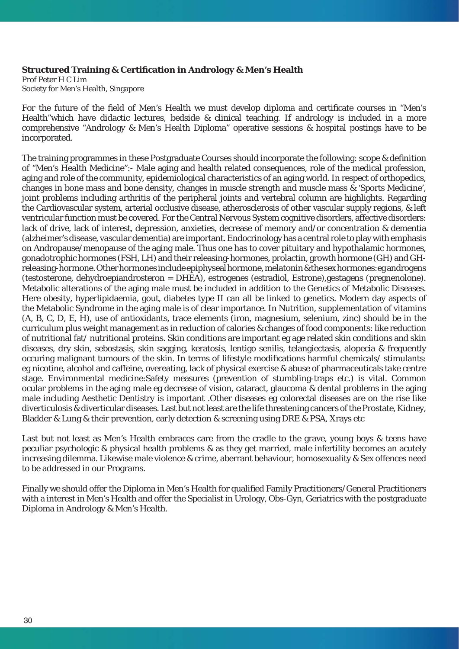## **Structured Training & Certifi cation in Andrology & Men's Health**

Prof Peter H C Lim Society for Men's Health, Singapore

For the future of the field of Men's Health we must develop diploma and certificate courses in "Men's Health"which have didactic lectures, bedside & clinical teaching. If andrology is included in a more comprehensive "Andrology & Men's Health Diploma" operative sessions & hospital postings have to be incorporated.

The training programmes in these Postgraduate Courses should incorporate the following: scope & definition of "Men's Health Medicine":- Male aging and health related consequences, role of the medical profession, aging and role of the community, epidemiological characteristics of an aging world. In respect of orthopedics, changes in bone mass and bone density, changes in muscle strength and muscle mass & 'Sports Medicine', joint problems including arthritis of the peripheral joints and vertebral column are highlights. Regarding the Cardiovascular system, arterial occlusive disease, atherosclerosis of other vascular supply regions, & left ventricular function must be covered. For the Central Nervous System cognitive disorders, affective disorders: lack of drive, lack of interest, depression, anxieties, decrease of memory and/or concentration & dementia (alzheimer's disease, vascular dementia) are important. Endocrinology has a central role to play with emphasis on Andropause/menopause of the aging male. Thus one has to cover pituitary and hypothalamic hormones, gonadotrophic hormones (FSH, LH) and their releasing-hormones, prolactin, growth hormone (GH) and GHreleasing-hormone. Other hormones include epiphyseal hormone, melatonin & the sex hormones:eg androgens (testosterone, dehydroepiandrosteron = DHEA), estrogenes (estradiol, Estrone),gestagens (pregnenolone). Metabolic alterations of the aging male must be included in addition to the Genetics of Metabolic Diseases. Here obesity, hyperlipidaemia, gout, diabetes type II can all be linked to genetics. Modern day aspects of the Metabolic Syndrome in the aging male is of clear importance. In Nutrition, supplementation of vitamins (A, B, C, D, E, H), use of antioxidants, trace elements (iron, magnesium, selenium, zinc) should be in the curriculum plus weight management as in reduction of calories & changes of food components: like reduction of nutritional fat/ nutritional proteins. Skin conditions are important eg age related skin conditions and skin diseases, dry skin, sebostasis, skin sagging, keratosis, lentigo senilis, telangiectasis, alopecia & frequently occuring malignant tumours of the skin. In terms of lifestyle modifications harmful chemicals/ stimulants: eg nicotine, alcohol and caffeine, overeating, lack of physical exercise & abuse of pharmaceuticals take centre stage. Environmental medicine:Safety measures (prevention of stumbling-traps etc.) is vital. Common ocular problems in the aging male eg decrease of vision, cataract, glaucoma & dental problems in the aging male including Aesthetic Dentistry is important .Other diseases eg colorectal diseases are on the rise like diverticulosis & diverticular diseases. Last but not least are the life threatening cancers of the Prostate, Kidney, Bladder & Lung & their prevention, early detection & screening using DRE & PSA, Xrays etc

Last but not least as Men's Health embraces care from the cradle to the grave, young boys & teens have peculiar psychologic & physical health problems & as they get married, male infertility becomes an acutely increasing dilemma. Likewise male violence & crime, aberrant behaviour, homosexuality & Sex offences need to be addressed in our Programs.

Finally we should offer the Diploma in Men's Health for qualified Family Practitioners/General Practitioners with a interest in Men's Health and offer the Specialist in Urology, Obs-Gyn, Geriatrics with the postgraduate Diploma in Andrology & Men's Health.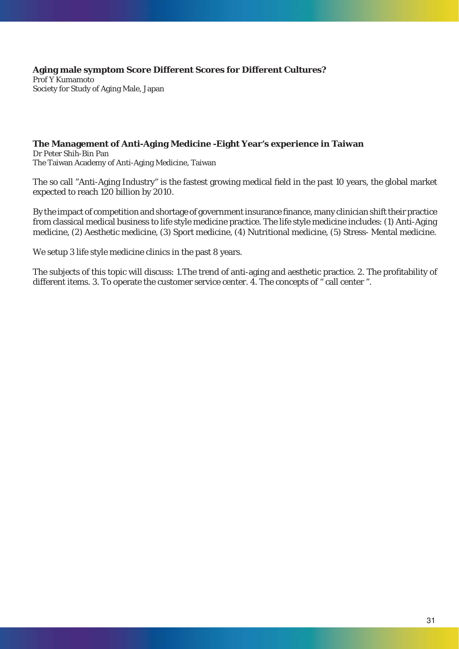**Aging male symptom Score Different Scores for Different Cultures?** Prof Y Kumamoto Society for Study of Aging Male, Japan

# **The Management of Anti-Aging Medicine -Eight Year's experience in Taiwan**

Dr Peter Shih-Bin Pan The Taiwan Academy of Anti-Aging Medicine, Taiwan

The so call "Anti-Aging Industry" is the fastest growing medical field in the past 10 years, the global market expected to reach 120 billion by 2010.

By the impact of competition and shortage of government insurance finance, many clinician shift their practice from classical medical business to life style medicine practice. The life style medicine includes: (1) Anti-Aging medicine, (2) Aesthetic medicine, (3) Sport medicine, (4) Nutritional medicine, (5) Stress- Mental medicine.

We setup 3 life style medicine clinics in the past 8 years.

The subjects of this topic will discuss: 1. The trend of anti-aging and aesthetic practice. 2. The profitability of different items. 3. To operate the customer service center. 4. The concepts of " call center ".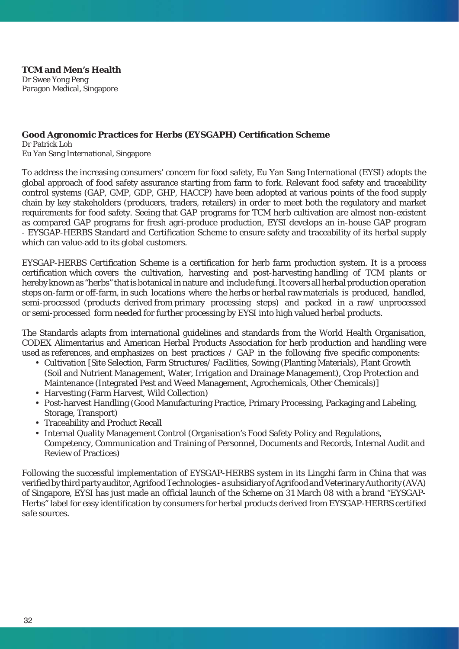**TCM and Men's Health** Dr Swee Yong Peng Paragon Medical, Singapore

# **Good Agronomic Practices for Herbs (EYSGAPH) Certifi cation Scheme**

Dr Patrick Loh Eu Yan Sang International, Singapore

To address the increasing consumers' concern for food safety, Eu Yan Sang International (EYSI) adopts the global approach of food safety assurance starting from farm to fork. Relevant food safety and traceability control systems (GAP, GMP, GDP, GHP, HACCP) have been adopted at various points of the food supply chain by key stakeholders (producers, traders, retailers) in order to meet both the regulatory and market requirements for food safety. Seeing that GAP programs for TCM herb cultivation are almost non-existent as compared GAP programs for fresh agri-produce production, EYSI develops an in-house GAP program - EYSGAP-HERBS Standard and Certification Scheme to ensure safety and traceability of its herbal supply which can value-add to its global customers.

EYSGAP-HERBS Certification Scheme is a certification for herb farm production system. It is a process certification which covers the cultivation, harvesting and post-harvesting handling of TCM plants or hereby known as "herbs" that is botanical in nature and include fungi. It covers all herbal production operation steps on-farm or off-farm, in such locations where the herbs or herbal raw materials is produced, handled, semi-processed (products derived from primary processing steps) and packed in a raw/ unprocessed or semi-processed form needed for further processing by EYSI into high valued herbal products.

The Standards adapts from international guidelines and standards from the World Health Organisation, CODEX Alimentarius and American Herbal Products Association for herb production and handling were used as references, and emphasizes on best practices  $/$  GAP in the following five specific components:

- Cultivation [Site Selection, Farm Structures/ Facilities, Sowing (Planting Materials), Plant Growth (Soil and Nutrient Management, Water, Irrigation and Drainage Management), Crop Protection and Maintenance (Integrated Pest and Weed Management, Agrochemicals, Other Chemicals)]
- Harvesting (Farm Harvest, Wild Collection)
- Post-harvest Handling (Good Manufacturing Practice, Primary Processing, Packaging and Labeling, Storage, Transport)
- Traceability and Product Recall
- Internal Quality Management Control (Organisation's Food Safety Policy and Regulations, Competency, Communication and Training of Personnel, Documents and Records, Internal Audit and Review of Practices)

Following the successful implementation of EYSGAP-HERBS system in its Lingzhi farm in China that was verified by third party auditor, Agrifood Technologies - a subsidiary of Agrifood and Veterinary Authority (AVA) of Singapore, EYSI has just made an official launch of the Scheme on 31 March 08 with a brand "EYSGAP-Herbs" label for easy identification by consumers for herbal products derived from EYSGAP-HERBS certified safe sources.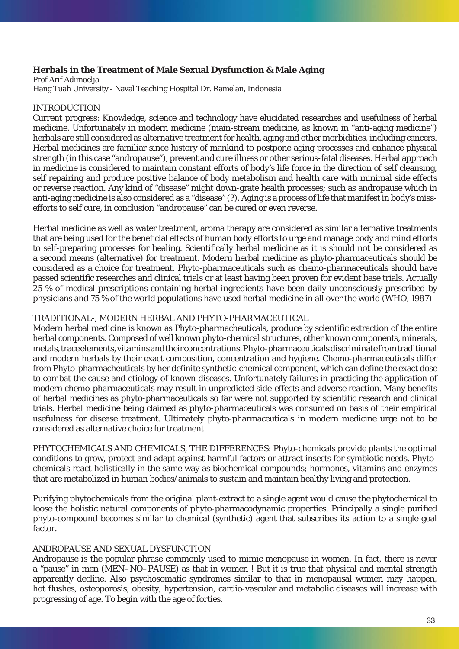# **Herbals in the Treatment of Male Sexual Dysfunction & Male Aging**

Prof Arif Adimoelja Hang Tuah University - Naval Teaching Hospital Dr. Ramelan, Indonesia

## INTRODUCTION

Current progress: Knowledge, science and technology have elucidated researches and usefulness of herbal medicine. Unfortunately in modern medicine (main-stream medicine, as known in "anti-aging medicine") herbals are still considered as alternative treatment for health, aging and other morbidities, including cancers. Herbal medicines are familiar since history of mankind to postpone aging processes and enhance physical strength (in this case "andropause"), prevent and cure illness or other serious-fatal diseases. Herbal approach in medicine is considered to maintain constant efforts of body's life force in the direction of self cleansing, self repairing and produce positive balance of body metabolism and health care with minimal side effects or reverse reaction. Any kind of "disease" might down-grate health processes; such as andropause which in anti-aging medicine is also considered as a "disease" (?). Aging is a process of life that manifest in body's missefforts to self cure, in conclusion "andropause" can be cured or even reverse.

Herbal medicine as well as water treatment, aroma therapy are considered as similar alternative treatments that are being used for the beneficial effects of human body efforts to urge and manage body and mind efforts to self-preparing processes for healing. Scientifically herbal medicine as it is should not be considered as a second means (alternative) for treatment. Modern herbal medicine as phyto-pharmaceuticals should be considered as a choice for treatment. Phyto-pharmaceuticals such as chemo-pharmaceuticals should have passed scientific researches and clinical trials or at least having been proven for evident base trials. Actually 25 % of medical prescriptions containing herbal ingredients have been daily unconsciously prescribed by physicians and 75 % of the world populations have used herbal medicine in all over the world (WHO, 1987)

## TRADITIONAL-, MODERN HERBAL AND PHYTO-PHARMACEUTICAL

Modern herbal medicine is known as Phyto-pharmacheuticals, produce by scientific extraction of the entire herbal components. Composed of well known phyto-chemical structures, other known components, minerals, metals, trace elements, vitamins and their concentrations. Phyto-pharmaceuticals discriminate from traditional and modern herbals by their exact composition, concentration and hygiene. Chemo-pharmaceuticals differ from Phyto-pharmacheuticals by her definite synthetic-chemical component, which can define the exact dose to combat the cause and etiology of known diseases. Unfortunately failures in practicing the application of modern chemo-pharmaceuticals may result in unpredicted side-effects and adverse reaction. Many benefits of herbal medicines as phyto-pharmaceuticals so far were not supported by scientific research and clinical trials. Herbal medicine being claimed as phyto-pharmaceuticals was consumed on basis of their empirical usefulness for disease treatment. Ultimately phyto-pharmaceuticals in modern medicine urge not to be considered as alternative choice for treatment.

PHYTOCHEMICALS AND CHEMICALS, THE DIFFERENCES: Phyto-chemicals provide plants the optimal conditions to grow, protect and adapt against harmful factors or attract insects for symbiotic needs. Phytochemicals react holistically in the same way as biochemical compounds; hormones, vitamins and enzymes that are metabolized in human bodies/animals to sustain and maintain healthy living and protection.

Purifying phytochemicals from the original plant-extract to a single agent would cause the phytochemical to loose the holistic natural components of phyto-pharmacodynamic properties. Principally a single purified phyto-compound becomes similar to chemical (synthetic) agent that subscribes its action to a single goal factor.

# ANDROPAUSE AND SEXUAL DYSFUNCTION

Andropause is the popular phrase commonly used to mimic menopause in women. In fact, there is never a "pause" in men (MEN–NO–PAUSE) as that in women ! But it is true that physical and mental strength apparently decline. Also psychosomatic syndromes similar to that in menopausal women may happen, hot flushes, osteoporosis, obesity, hypertension, cardio-vascular and metabolic diseases will increase with progressing of age. To begin with the age of forties.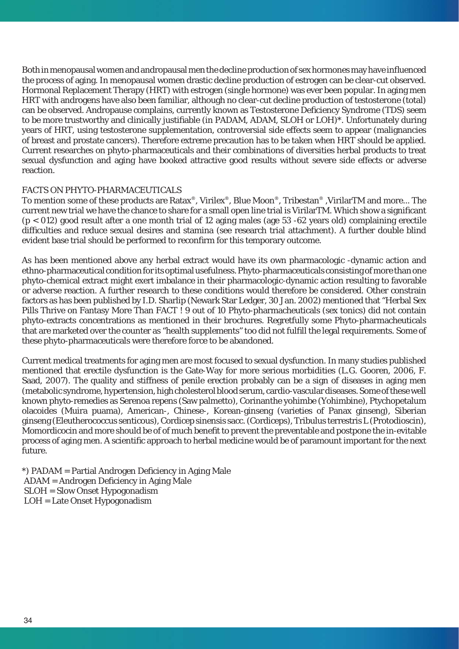Both in menopausal women and andropausal men the decline production of sex hormones may have influenced the process of aging. In menopausal women drastic decline production of estrogen can be clear-cut observed. Hormonal Replacement Therapy (HRT) with estrogen (single hormone) was ever been popular. In aging men HRT with androgens have also been familiar, although no clear-cut decline production of testosterone (total) can be observed. Andropause complains, currently known as Testosterone Deficiency Syndrome (TDS) seem to be more trustworthy and clinically justifiable (in PADAM, ADAM, SLOH or LOH)\*. Unfortunately during years of HRT, using testosterone supplementation, controversial side effects seem to appear (malignancies of breast and prostate cancers). Therefore extreme precaution has to be taken when HRT should be applied. Current researches on phyto-pharmaceuticals and their combinations of diversities herbal products to treat sexual dysfunction and aging have booked attractive good results without severe side effects or adverse reaction.

## FACTS ON PHYTO-PHARMACEUTICALS

To mention some of these products are Ratax®, Virilex®, Blue Moon®, Tribestan® ,VirilarTM and more... The current new trial we have the chance to share for a small open line trial is VirilarTM. Which show a significant (p < 012) good result after a one month trial of 12 aging males (age 53 -62 years old) complaining erectile difficulties and reduce sexual desires and stamina (see research trial attachment). A further double blind evident base trial should be performed to reconfirm for this temporary outcome.

As has been mentioned above any herbal extract would have its own pharmacologic -dynamic action and ethno-pharmaceutical condition for its optimal usefulness. Phyto-pharmaceuticals consisting of more than one phyto-chemical extract might exert imbalance in their pharmacologic-dynamic action resulting to favorable or adverse reaction. A further research to these conditions would therefore be considered. Other constrain factors as has been published by I.D. Sharlip (Newark Star Ledger, 30 Jan. 2002) mentioned that "Herbal Sex Pills Thrive on Fantasy More Than FACT ! 9 out of 10 Phyto-pharmacheuticals (sex tonics) did not contain phyto-extracts concentrations as mentioned in their brochures. Regretfully some Phyto-pharmacheuticals that are marketed over the counter as "health supplements" too did not fulfill the legal requirements. Some of these phyto-pharmaceuticals were therefore force to be abandoned.

Current medical treatments for aging men are most focused to sexual dysfunction. In many studies published mentioned that erectile dysfunction is the Gate-Way for more serious morbidities (L.G. Gooren, 2006, F. Saad, 2007). The quality and stiffness of penile erection probably can be a sign of diseases in aging men (metabolic syndrome, hypertension, high cholesterol blood serum, cardio-vascular diseases. Some of these well known phyto-remedies as Serenoa repens (Saw palmetto), Corinanthe yohimbe (Yohimbine), Ptychopetalum olacoides (Muira puama), American-, Chinese-, Korean-ginseng (varieties of Panax ginseng), Siberian ginseng (Eleutherococcus senticous), Cordicep sinensis sacc. (Cordiceps), Tribulus terrestris L (Protodioscin), Momordicocin and more should be of of much benefit to prevent the preventable and postpone the in-evitable process of aging men. A scientific approach to herbal medicine would be of paramount important for the next future.

 $*$ ) PADAM = Partial Androgen Deficiency in Aging Male  $ADAM =$  Androgen Deficiency in Aging Male SLOH = Slow Onset Hypogonadism LOH = Late Onset Hypogonadism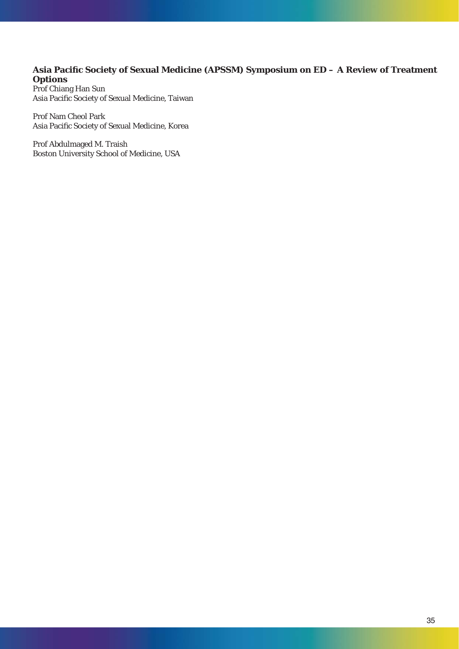# Asia Pacific Society of Sexual Medicine (APSSM) Symposium on ED - A Review of Treatment **Options**

Prof Chiang Han Sun Asia Pacific Society of Sexual Medicine, Taiwan

Prof Nam Cheol Park Asia Pacific Society of Sexual Medicine, Korea

Prof Abdulmaged M. Traish Boston University School of Medicine, USA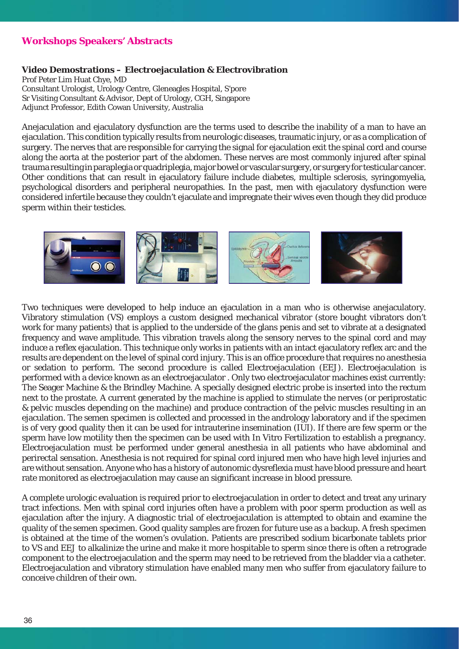# **Workshops Speakers' Abstracts**

## **Video Demostrations – Electroejaculation & Electrovibration**

Prof Peter Lim Huat Chye, MD Consultant Urologist, Urology Centre, Gleneagles Hospital, S'pore Sr Visiting Consultant & Advisor, Dept of Urology, CGH, Singapore Adjunct Professor, Edith Cowan University, Australia

Anejaculation and ejaculatory dysfunction are the terms used to describe the inability of a man to have an ejaculation. This condition typically results from neurologic diseases, traumatic injury, or as a complication of surgery. The nerves that are responsible for carrying the signal for ejaculation exit the spinal cord and course along the aorta at the posterior part of the abdomen. These nerves are most commonly injured after spinal trauma resulting in paraplegia or quadriplegia, major bowel or vascular surgery, or surgery for testicular cancer. Other conditions that can result in ejaculatory failure include diabetes, multiple sclerosis, syringomyelia, psychological disorders and peripheral neuropathies. In the past, men with ejaculatory dysfunction were considered infertile because they couldn't ejaculate and impregnate their wives even though they did produce sperm within their testicles.



Two techniques were developed to help induce an ejaculation in a man who is otherwise anejaculatory. Vibratory stimulation (VS) employs a custom designed mechanical vibrator (store bought vibrators don't work for many patients) that is applied to the underside of the glans penis and set to vibrate at a designated frequency and wave amplitude. This vibration travels along the sensory nerves to the spinal cord and may induce a reflex ejaculation. This technique only works in patients with an intact ejaculatory reflex arc and the results are dependent on the level of spinal cord injury. This is an office procedure that requires no anesthesia or sedation to perform. The second procedure is called Electroejaculation (EEJ). Electroejaculation is performed with a device known as an electroejaculator . Only two electroejaculator machines exist currently: The Seager Machine & the Brindley Machine. A specially designed electric probe is inserted into the rectum next to the prostate. A current generated by the machine is applied to stimulate the nerves (or periprostatic & pelvic muscles depending on the machine) and produce contraction of the pelvic muscles resulting in an ejaculation. The semen specimen is collected and processed in the andrology laboratory and if the specimen is of very good quality then it can be used for intrauterine insemination (IUI). If there are few sperm or the sperm have low motility then the specimen can be used with In Vitro Fertilization to establish a pregnancy. Electroejaculation must be performed under general anesthesia in all patients who have abdominal and perirectal sensation. Anesthesia is not required for spinal cord injured men who have high level injuries and are without sensation. Anyone who has a history of autonomic dysreflexia must have blood pressure and heart rate monitored as electroejaculation may cause an significant increase in blood pressure.

A complete urologic evaluation is required prior to electroejaculation in order to detect and treat any urinary tract infections. Men with spinal cord injuries often have a problem with poor sperm production as well as ejaculation after the injury. A diagnostic trial of electroejaculation is attempted to obtain and examine the quality of the semen specimen. Good quality samples are frozen for future use as a backup. A fresh specimen is obtained at the time of the women's ovulation. Patients are prescribed sodium bicarbonate tablets prior to VS and EEJ to alkalinize the urine and make it more hospitable to sperm since there is often a retrograde component to the electroejaculation and the sperm may need to be retrieved from the bladder via a catheter. Electroejaculation and vibratory stimulation have enabled many men who suffer from ejaculatory failure to conceive children of their own.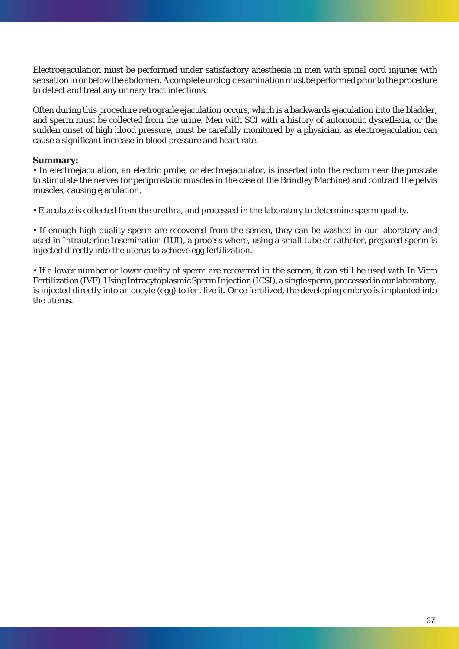Electroejaculation must be performed under satisfactory anesthesia in men with spinal cord injuries with sensation in or below the abdomen. A complete urologic examination must be performed prior to the procedure to detect and treat any urinary tract infections.

Often during this procedure retrograde ejaculation occurs, which is a backwards ejaculation into the bladder, and sperm must be collected from the urine. Men with SCI with a history of autonomic dysreflexia, or the sudden onset of high blood pressure, must be carefully monitored by a physician, as electroejaculation can cause a significant increase in blood pressure and heart rate.

## **Summary:**

• In electroejaculation, an electric probe, or electroejaculator, is inserted into the rectum near the prostate to stimulate the nerves (or periprostatic muscles in the case of the Brindley Machine) and contract the pelvis muscles, causing ejaculation.

• Ejaculate is collected from the urethra, and processed in the laboratory to determine sperm quality.

• If enough high-quality sperm are recovered from the semen, they can be washed in our laboratory and used in Intrauterine Insemination (IUI), a process where, using a small tube or catheter, prepared sperm is injected directly into the uterus to achieve egg fertilization.

• If a lower number or lower quality of sperm are recovered in the semen, it can still be used with In Vitro Fertilization (IVF). Using Intracytoplasmic Sperm Injection (ICSI), a single sperm, processed in our laboratory, is injected directly into an oocyte (egg) to fertilize it. Once fertilized, the developing embryo is implanted into the uterus.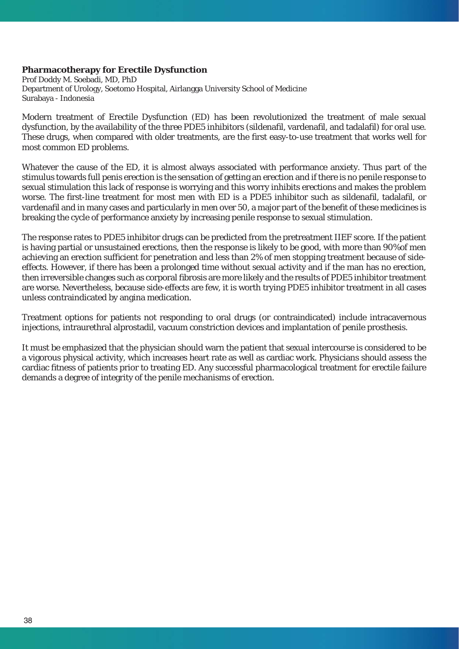# **Pharmacotherapy for Erectile Dysfunction**

Prof Doddy M. Soebadi, MD, PhD Department of Urology, Soetomo Hospital, Airlangga University School of Medicine Surabaya - Indonesia

Modern treatment of Erectile Dysfunction (ED) has been revolutionized the treatment of male sexual dysfunction, by the availability of the three PDE5 inhibitors (sildenafil, vardenafil, and tadalafil) for oral use. These drugs, when compared with older treatments, are the first easy-to-use treatment that works well for most common ED problems.

Whatever the cause of the ED, it is almost always associated with performance anxiety. Thus part of the stimulus towards full penis erection is the sensation of getting an erection and if there is no penile response to sexual stimulation this lack of response is worrying and this worry inhibits erections and makes the problem worse. The first-line treatment for most men with ED is a PDE5 inhibitor such as sildenafil, tadalafil, or vardenafil and in many cases and particularly in men over 50, a major part of the benefit of these medicines is breaking the cycle of performance anxiety by increasing penile response to sexual stimulation.

The response rates to PDE5 inhibitor drugs can be predicted from the pretreatment IIEF score. If the patient is having partial or unsustained erections, then the response is likely to be good, with more than 90%of men achieving an erection sufficient for penetration and less than 2% of men stopping treatment because of sideeffects. However, if there has been a prolonged time without sexual activity and if the man has no erection, then irreversible changes such as corporal fibrosis are more likely and the results of PDE5 inhibitor treatment are worse. Nevertheless, because side-effects are few, it is worth trying PDE5 inhibitor treatment in all cases unless contraindicated by angina medication.

Treatment options for patients not responding to oral drugs (or contraindicated) include intracavernous injections, intraurethral alprostadil, vacuum constriction devices and implantation of penile prosthesis.

It must be emphasized that the physician should warn the patient that sexual intercourse is considered to be a vigorous physical activity, which increases heart rate as well as cardiac work. Physicians should assess the cardiac fitness of patients prior to treating ED. Any successful pharmacological treatment for erectile failure demands a degree of integrity of the penile mechanisms of erection.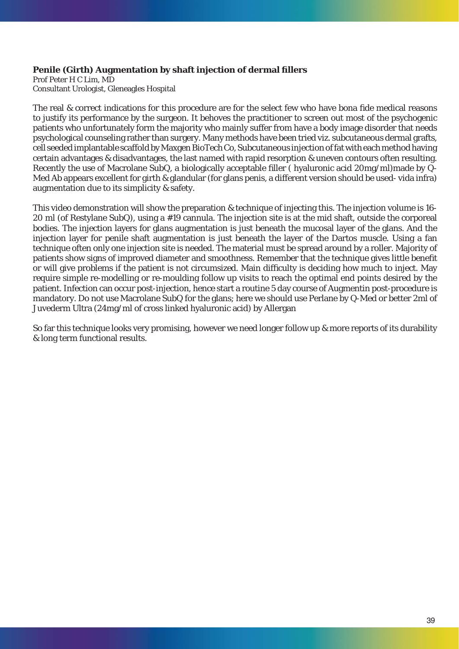# **Penile (Girth) Augmentation by shaft injection of dermal fi llers**

Prof Peter H C Lim, MD Consultant Urologist, Gleneagles Hospital

The real & correct indications for this procedure are for the select few who have bona fide medical reasons to justify its performance by the surgeon. It behoves the practitioner to screen out most of the psychogenic patients who unfortunately form the majority who mainly suffer from have a body image disorder that needs psychological counseling rather than surgery. Many methods have been tried viz. subcutaneous dermal grafts, cell seeded implantable scaffold by Maxgen BioTech Co, Subcutaneous injection of fat with each method having certain advantages & disadvantages, the last named with rapid resorption & uneven contours often resulting. Recently the use of Macrolane SubQ, a biologically acceptable filler ( hyaluronic acid 20mg/ml)made by Q-Med Ab appears excellent for girth & glandular (for glans penis, a different version should be used- vida infra) augmentation due to its simplicity & safety.

This video demonstration will show the preparation & technique of injecting this. The injection volume is 16- 20 ml (of Restylane SubQ), using a #19 cannula. The injection site is at the mid shaft, outside the corporeal bodies. The injection layers for glans augmentation is just beneath the mucosal layer of the glans. And the injection layer for penile shaft augmentation is just beneath the layer of the Dartos muscle. Using a fan technique often only one injection site is needed. The material must be spread around by a roller. Majority of patients show signs of improved diameter and smoothness. Remember that the technique gives little benefit or will give problems if the patient is not circumsized. Main difficulty is deciding how much to inject. May require simple re-modelling or re-moulding follow up visits to reach the optimal end points desired by the patient. Infection can occur post-injection, hence start a routine 5 day course of Augmentin post-procedure is mandatory. Do not use Macrolane SubQ for the glans; here we should use Perlane by Q-Med or better 2ml of Juvederm Ultra (24mg/ml of cross linked hyaluronic acid) by Allergan

So far this technique looks very promising, however we need longer follow up & more reports of its durability & long term functional results.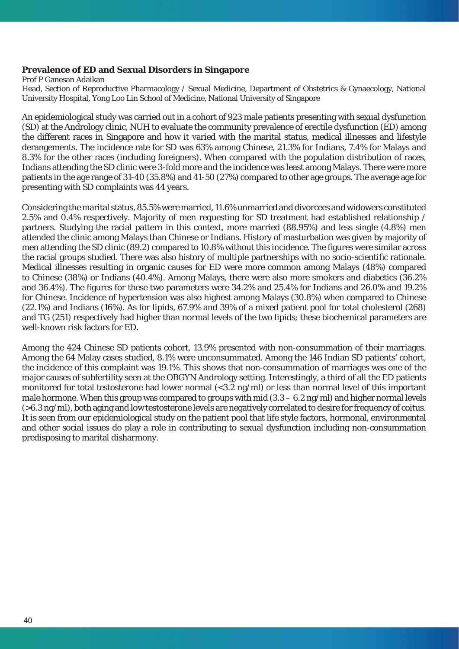## **Prevalence of ED and Sexual Disorders in Singapore**

Prof P Ganesan Adaikan

Head, Section of Reproductive Pharmacology / Sexual Medicine, Department of Obstetrics & Gynaecology, National University Hospital, Yong Loo Lin School of Medicine, National University of Singapore

An epidemiological study was carried out in a cohort of 923 male patients presenting with sexual dysfunction (SD) at the Andrology clinic, NUH to evaluate the community prevalence of erectile dysfunction (ED) among the different races in Singapore and how it varied with the marital status, medical illnesses and lifestyle derangements. The incidence rate for SD was 63% among Chinese, 21.3% for Indians, 7.4% for Malays and 8.3% for the other races (including foreigners). When compared with the population distribution of races, Indians attending the SD clinic were 3-fold more and the incidence was least among Malays. There were more patients in the age range of 31-40 (35.8%) and 41-50 (27%) compared to other age groups. The average age for presenting with SD complaints was 44 years.

Considering the marital status, 85.5% were married, 11.6% unmarried and divorcees and widowers constituted 2.5% and 0.4% respectively. Majority of men requesting for SD treatment had established relationship / partners. Studying the racial pattern in this context, more married (88.95%) and less single (4.8%) men attended the clinic among Malays than Chinese or Indians. History of masturbation was given by majority of men attending the SD clinic (89.2) compared to 10.8% without this incidence. The figures were similar across the racial groups studied. There was also history of multiple partnerships with no socio-scientific rationale. Medical illnesses resulting in organic causes for ED were more common among Malays (48%) compared to Chinese (38%) or Indians (40.4%). Among Malays, there were also more smokers and diabetics (36.2% and 36.4%). The figures for these two parameters were  $34.2\%$  and  $25.4\%$  for Indians and  $26.0\%$  and  $19.2\%$ for Chinese. Incidence of hypertension was also highest among Malays (30.8%) when compared to Chinese (22.1%) and Indians (16%). As for lipids, 67.9% and 39% of a mixed patient pool for total cholesterol (268) and TG (251) respectively had higher than normal levels of the two lipids; these biochemical parameters are well-known risk factors for ED.

Among the 424 Chinese SD patients cohort, 13.9% presented with non-consummation of their marriages. Among the 64 Malay cases studied, 8.1% were unconsummated. Among the 146 Indian SD patients' cohort, the incidence of this complaint was 19.1%. This shows that non-consummation of marriages was one of the major causes of subfertility seen at the OBGYN Andrology setting. Interestingly, a third of all the ED patients monitored for total testosterone had lower normal (<3.2 ng/ml) or less than normal level of this important male hormone. When this group was compared to groups with mid  $(3.3 - 6.2$  ng/ml) and higher normal levels (>6.3 ng/ml), both aging and low testosterone levels are negatively correlated to desire for frequency of coitus. It is seen from our epidemiological study on the patient pool that life style factors, hormonal, environmental and other social issues do play a role in contributing to sexual dysfunction including non-consummation predisposing to marital disharmony.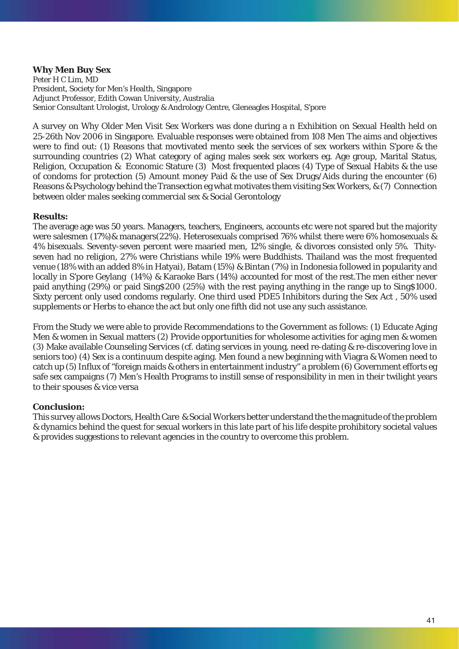# **Why Men Buy Sex**

Peter H C Lim, MD President, Society for Men's Health, Singapore Adjunct Professor, Edith Cowan University, Australia Senior Consultant Urologist, Urology & Andrology Centre, Gleneagles Hospital, S'pore

A survey on Why Older Men Visit Sex Workers was done during a n Exhibition on Sexual Health held on 25-26th Nov 2006 in Singapore. Evaluable responses were obtained from 108 Men The aims and objectives were to find out: (1) Reasons that movtivated mento seek the services of sex workers within S'pore & the surrounding countries (2) What category of aging males seek sex workers eg. Age group, Marital Status, Religion, Occupation & Economic Stature (3) Most frequented places (4) Type of Sexual Habits & the use of condoms for protection (5) Amount money Paid & the use of Sex Drugs/Aids during the encounter (6) Reasons & Psychology behind the Transection eg what motivates them visiting Sex Workers, & (7) Connection between older males seeking commercial sex & Social Gerontology

## **Results:**

The average age was 50 years. Managers, teachers, Engineers, accounts etc were not spared but the majority were salesmen (17%)& managers(22%). Heterosexuals comprised 76% whilst there were 6% homosexuals & 4% bisexuals. Seventy-seven percent were maaried men, 12% single, & divorces consisted only 5%. Thityseven had no religion, 27% were Christians while 19% were Buddhists. Thailand was the most frequented venue (18% with an added 8% in Hatyai), Batam (15%) & Bintan (7%) in Indonesia followed in popularity and locally in S'pore Geylang (14%) & Karaoke Bars (14%) accounted for most of the rest.The men either never paid anything (29%) or paid Sing\$200 (25%) with the rest paying anything in the range up to Sing\$1000. Sixty percent only used condoms regularly. One third used PDE5 Inhibitors during the Sex Act , 50% used supplements or Herbs to ehance the act but only one fifth did not use any such assistance.

From the Study we were able to provide Recommendations to the Government as follows: (1) Educate Aging Men & women in Sexual matters (2) Provide opportunities for wholesome activities for aging men & women (3) Make available Counseling Services (cf. dating services in young, need re-dating & re-discovering love in seniors too) (4) Sex is a continuum despite aging. Men found a new beginning with Viagra & Women need to catch up (5) Influx of "foreign maids & others in entertainment industry" a problem (6) Government efforts eg safe sex campaigns (7) Men's Health Programs to instill sense of responsibility in men in their twilight years to their spouses & vice versa

# **Conclusion:**

This survey allows Doctors, Health Care & Social Workers better understand the the magnitude of the problem & dynamics behind the quest for sexual workers in this late part of his life despite prohibitory societal values & provides suggestions to relevant agencies in the country to overcome this problem.